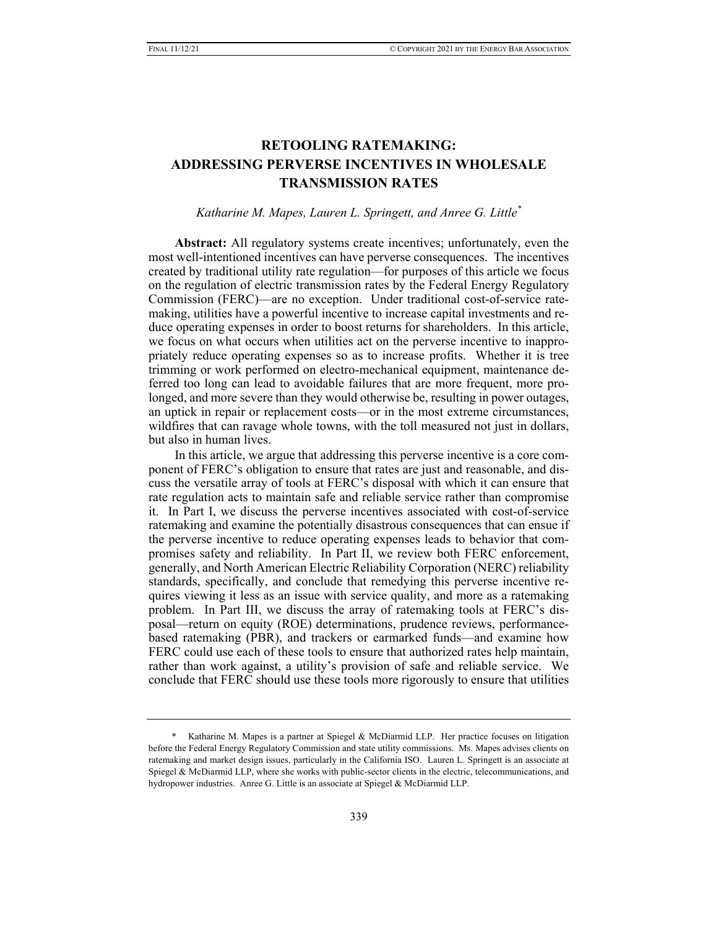# **RETOOLING RATEMAKING: ADDRESSING PERVERSE INCENTIVES IN WHOLESALE TRANSMISSION RATES**

*Katharine M. Mapes, Lauren L. Springett, and Anree G. Little\**

**Abstract:** All regulatory systems create incentives; unfortunately, even the most well-intentioned incentives can have perverse consequences. The incentives created by traditional utility rate regulation—for purposes of this article we focus on the regulation of electric transmission rates by the Federal Energy Regulatory Commission (FERC)—are no exception. Under traditional cost-of-service ratemaking, utilities have a powerful incentive to increase capital investments and reduce operating expenses in order to boost returns for shareholders. In this article, we focus on what occurs when utilities act on the perverse incentive to inappropriately reduce operating expenses so as to increase profits. Whether it is tree trimming or work performed on electro-mechanical equipment, maintenance deferred too long can lead to avoidable failures that are more frequent, more prolonged, and more severe than they would otherwise be, resulting in power outages, an uptick in repair or replacement costs—or in the most extreme circumstances, wildfires that can ravage whole towns, with the toll measured not just in dollars, but also in human lives.

In this article, we argue that addressing this perverse incentive is a core component of FERC's obligation to ensure that rates are just and reasonable, and discuss the versatile array of tools at FERC's disposal with which it can ensure that rate regulation acts to maintain safe and reliable service rather than compromise it. In Part I, we discuss the perverse incentives associated with cost-of-service ratemaking and examine the potentially disastrous consequences that can ensue if the perverse incentive to reduce operating expenses leads to behavior that compromises safety and reliability. In Part II, we review both FERC enforcement, generally, and North American Electric Reliability Corporation (NERC) reliability standards, specifically, and conclude that remedying this perverse incentive requires viewing it less as an issue with service quality, and more as a ratemaking problem. In Part III, we discuss the array of ratemaking tools at FERC's disposal—return on equity (ROE) determinations, prudence reviews, performancebased ratemaking (PBR), and trackers or earmarked funds—and examine how FERC could use each of these tools to ensure that authorized rates help maintain, rather than work against, a utility's provision of safe and reliable service. We conclude that FERC should use these tools more rigorously to ensure that utilities

Katharine M. Mapes is a partner at Spiegel & McDiarmid LLP. Her practice focuses on litigation before the Federal Energy Regulatory Commission and state utility commissions. Ms. Mapes advises clients on ratemaking and market design issues, particularly in the California ISO. Lauren L. Springett is an associate at Spiegel & McDiarmid LLP, where she works with public-sector clients in the electric, telecommunications, and hydropower industries. Anree G. Little is an associate at Spiegel & McDiarmid LLP.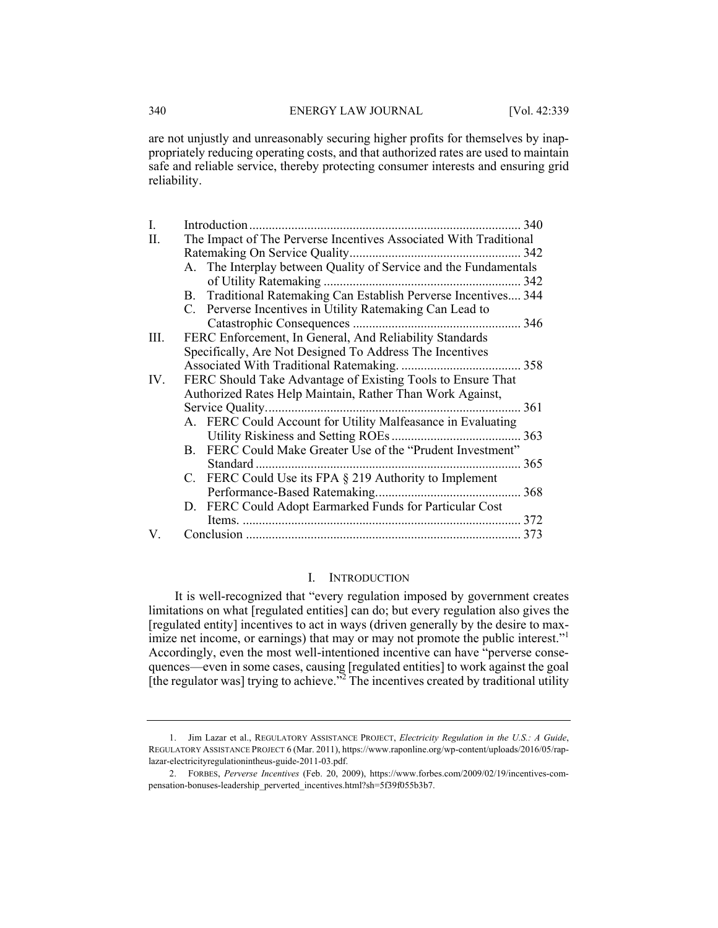#### 340 ENERGY LAW JOURNAL [Vol. 42:339

are not unjustly and unreasonably securing higher profits for themselves by inappropriately reducing operating costs, and that authorized rates are used to maintain safe and reliable service, thereby protecting consumer interests and ensuring grid reliability.

| Ι.  |                                                             | 340                                                               |     |
|-----|-------------------------------------------------------------|-------------------------------------------------------------------|-----|
| П.  |                                                             | The Impact of The Perverse Incentives Associated With Traditional |     |
|     |                                                             |                                                                   |     |
|     |                                                             | A. The Interplay between Quality of Service and the Fundamentals  |     |
|     |                                                             |                                                                   |     |
|     |                                                             | B. Traditional Ratemaking Can Establish Perverse Incentives 344   |     |
|     |                                                             | C. Perverse Incentives in Utility Ratemaking Can Lead to          |     |
|     |                                                             |                                                                   |     |
| Ш.  |                                                             | FERC Enforcement, In General, And Reliability Standards           |     |
|     |                                                             | Specifically, Are Not Designed To Address The Incentives          |     |
|     |                                                             |                                                                   |     |
| IV. | FERC Should Take Advantage of Existing Tools to Ensure That |                                                                   |     |
|     |                                                             | Authorized Rates Help Maintain, Rather Than Work Against,         |     |
|     | 361                                                         |                                                                   |     |
|     |                                                             | A. FERC Could Account for Utility Malfeasance in Evaluating       |     |
|     |                                                             |                                                                   |     |
|     |                                                             | B. FERC Could Make Greater Use of the "Prudent Investment"        |     |
|     |                                                             | Standard                                                          | 365 |
|     |                                                             | C. FERC Could Use its FPA § 219 Authority to Implement            |     |
|     |                                                             |                                                                   |     |
|     |                                                             | D. FERC Could Adopt Earmarked Funds for Particular Cost           |     |
|     |                                                             |                                                                   | 372 |
| V.  |                                                             |                                                                   | 373 |

#### I. INTRODUCTION

It is well-recognized that "every regulation imposed by government creates limitations on what [regulated entities] can do; but every regulation also gives the [regulated entity] incentives to act in ways (driven generally by the desire to maximize net income, or earnings) that may or may not promote the public interest."<sup>1</sup> Accordingly, even the most well-intentioned incentive can have "perverse consequences—even in some cases, causing [regulated entities] to work against the goal [the regulator was] trying to achieve.<sup>32</sup> The incentives created by traditional utility

 <sup>1.</sup> Jim Lazar et al., REGULATORY ASSISTANCE PROJECT, *Electricity Regulation in the U.S.: A Guide*, REGULATORY ASSISTANCE PROJECT 6 (Mar. 2011), https://www.raponline.org/wp-content/uploads/2016/05/raplazar-electricityregulationintheus-guide-2011-03.pdf.

 <sup>2.</sup> FORBES, *Perverse Incentives* (Feb. 20, 2009), https://www.forbes.com/2009/02/19/incentives-compensation-bonuses-leadership\_perverted\_incentives.html?sh=5f39f055b3b7.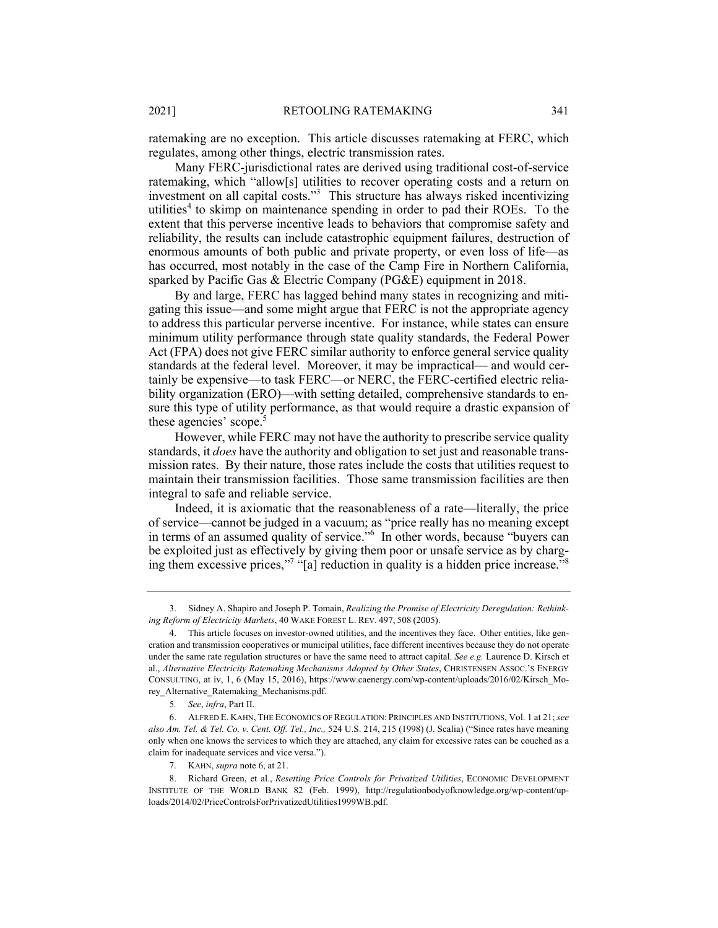ratemaking are no exception. This article discusses ratemaking at FERC, which regulates, among other things, electric transmission rates.

Many FERC-jurisdictional rates are derived using traditional cost-of-service ratemaking, which "allow[s] utilities to recover operating costs and a return on investment on all capital costs."3 This structure has always risked incentivizing utilities<sup>4</sup> to skimp on maintenance spending in order to pad their ROEs. To the extent that this perverse incentive leads to behaviors that compromise safety and reliability, the results can include catastrophic equipment failures, destruction of enormous amounts of both public and private property, or even loss of life—as has occurred, most notably in the case of the Camp Fire in Northern California, sparked by Pacific Gas & Electric Company (PG&E) equipment in 2018.

By and large, FERC has lagged behind many states in recognizing and mitigating this issue—and some might argue that FERC is not the appropriate agency to address this particular perverse incentive. For instance, while states can ensure minimum utility performance through state quality standards, the Federal Power Act (FPA) does not give FERC similar authority to enforce general service quality standards at the federal level. Moreover, it may be impractical— and would certainly be expensive—to task FERC—or NERC, the FERC-certified electric reliability organization (ERO)—with setting detailed, comprehensive standards to ensure this type of utility performance, as that would require a drastic expansion of these agencies' scope.<sup>5</sup>

However, while FERC may not have the authority to prescribe service quality standards, it *does* have the authority and obligation to set just and reasonable transmission rates. By their nature, those rates include the costs that utilities request to maintain their transmission facilities. Those same transmission facilities are then integral to safe and reliable service.

Indeed, it is axiomatic that the reasonableness of a rate—literally, the price of service—cannot be judged in a vacuum; as "price really has no meaning except in terms of an assumed quality of service."6 In other words, because "buyers can be exploited just as effectively by giving them poor or unsafe service as by charging them excessive prices,"<sup>7</sup> "[a] reduction in quality is a hidden price increase."<sup>8</sup>

 <sup>3.</sup> Sidney A. Shapiro and Joseph P. Tomain, *Realizing the Promise of Electricity Deregulation: Rethinking Reform of Electricity Markets*, 40 WAKE FOREST L. REV. 497, 508 (2005).

 <sup>4.</sup> This article focuses on investor-owned utilities, and the incentives they face. Other entities, like generation and transmission cooperatives or municipal utilities, face different incentives because they do not operate under the same rate regulation structures or have the same need to attract capital. *See e.g.* Laurence D. Kirsch et al., *Alternative Electricity Ratemaking Mechanisms Adopted by Other States*, CHRISTENSEN ASSOC.'S ENERGY CONSULTING, at iv, 1, 6 (May 15, 2016), https://www.caenergy.com/wp-content/uploads/2016/02/Kirsch\_Morey\_Alternative\_Ratemaking\_Mechanisms.pdf.

<sup>5</sup>*. See*, *infra*, Part II.

 <sup>6.</sup> ALFRED E. KAHN, THE ECONOMICS OF REGULATION: PRINCIPLES AND INSTITUTIONS, Vol. 1 at 21; *see also Am. Tel. & Tel. Co. v. Cent. Off. Tel., Inc.,* 524 U.S. 214, 215 (1998) (J. Scalia) ("Since rates have meaning only when one knows the services to which they are attached, any claim for excessive rates can be couched as a claim for inadequate services and vice versa.").

 <sup>7.</sup> KAHN, *supra* note 6, at 21.

<sup>8.</sup> Richard Green, et al., *Resetting Price Controls for Privatized Utilities*, ECONOMIC DEVELOPMENT INSTITUTE OF THE WORLD BANK 82 (Feb. 1999), http://regulationbodyofknowledge.org/wp-content/uploads/2014/02/PriceControlsForPrivatizedUtilities1999WB.pdf.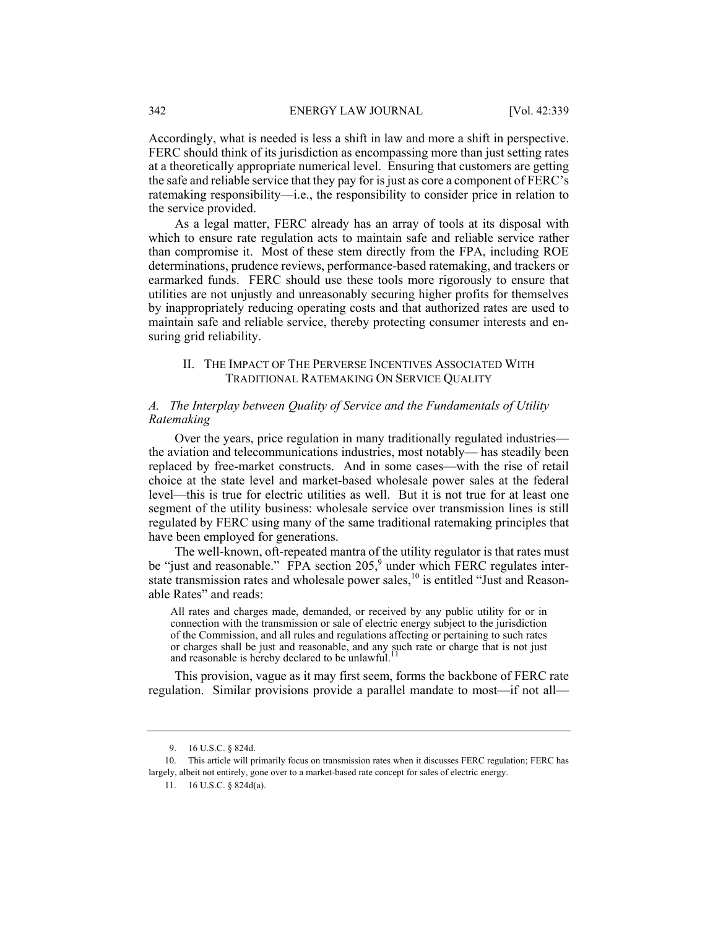Accordingly, what is needed is less a shift in law and more a shift in perspective. FERC should think of its jurisdiction as encompassing more than just setting rates at a theoretically appropriate numerical level. Ensuring that customers are getting the safe and reliable service that they pay for is just as core a component of FERC's ratemaking responsibility—i.e., the responsibility to consider price in relation to the service provided.

As a legal matter, FERC already has an array of tools at its disposal with which to ensure rate regulation acts to maintain safe and reliable service rather than compromise it. Most of these stem directly from the FPA, including ROE determinations, prudence reviews, performance-based ratemaking, and trackers or earmarked funds. FERC should use these tools more rigorously to ensure that utilities are not unjustly and unreasonably securing higher profits for themselves by inappropriately reducing operating costs and that authorized rates are used to maintain safe and reliable service, thereby protecting consumer interests and ensuring grid reliability.

#### II. THE IMPACT OF THE PERVERSE INCENTIVES ASSOCIATED WITH TRADITIONAL RATEMAKING ON SERVICE QUALITY

# *A. The Interplay between Quality of Service and the Fundamentals of Utility Ratemaking*

Over the years, price regulation in many traditionally regulated industries the aviation and telecommunications industries, most notably— has steadily been replaced by free-market constructs. And in some cases—with the rise of retail choice at the state level and market-based wholesale power sales at the federal level—this is true for electric utilities as well. But it is not true for at least one segment of the utility business: wholesale service over transmission lines is still regulated by FERC using many of the same traditional ratemaking principles that have been employed for generations.

The well-known, oft-repeated mantra of the utility regulator is that rates must be "just and reasonable." FPA section 205,<sup>9</sup> under which FERC regulates interstate transmission rates and wholesale power sales,<sup>10</sup> is entitled "Just and Reasonable Rates" and reads:

All rates and charges made, demanded, or received by any public utility for or in connection with the transmission or sale of electric energy subject to the jurisdiction of the Commission, and all rules and regulations affecting or pertaining to such rates or charges shall be just and reasonable, and any such rate or charge that is not just and reasonable is hereby declared to be unlawful.<sup>11</sup>

This provision, vague as it may first seem, forms the backbone of FERC rate regulation. Similar provisions provide a parallel mandate to most—if not all—

 <sup>9. 16</sup> U.S.C. § 824d.

 <sup>10.</sup> This article will primarily focus on transmission rates when it discusses FERC regulation; FERC has largely, albeit not entirely, gone over to a market-based rate concept for sales of electric energy.

 <sup>11. 16</sup> U.S.C. § 824d(a).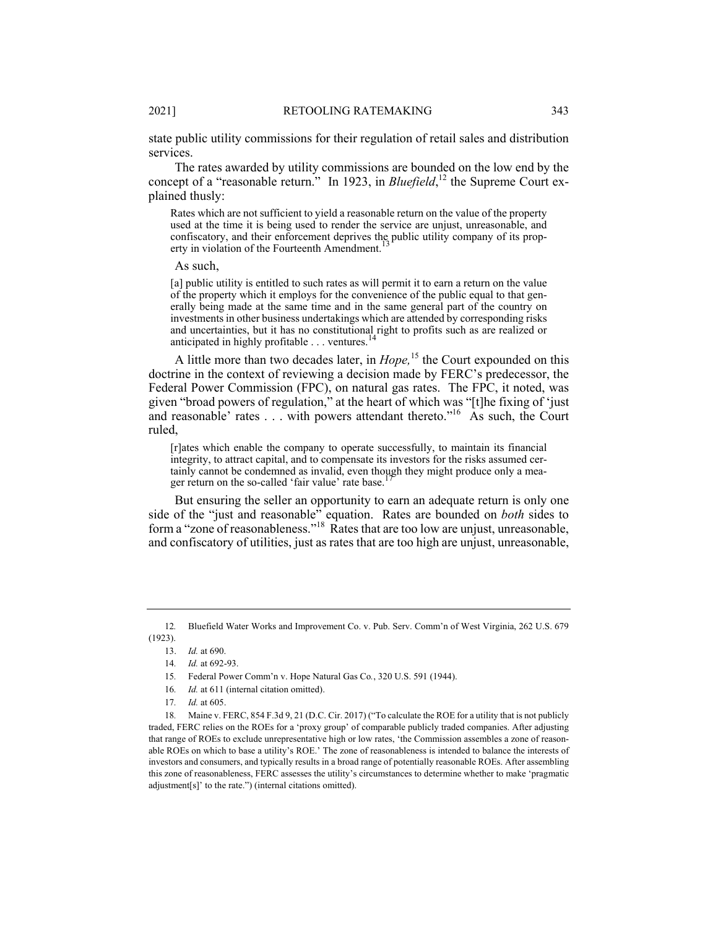state public utility commissions for their regulation of retail sales and distribution services.

The rates awarded by utility commissions are bounded on the low end by the concept of a "reasonable return." In 1923, in *Bluefield*,<sup>12</sup> the Supreme Court explained thusly:

Rates which are not sufficient to yield a reasonable return on the value of the property used at the time it is being used to render the service are unjust, unreasonable, and confiscatory, and their enforcement deprives the public utility company of its property in violation of the Fourteenth Amendment.<sup>1</sup>

As such,

[a] public utility is entitled to such rates as will permit it to earn a return on the value of the property which it employs for the convenience of the public equal to that generally being made at the same time and in the same general part of the country on investments in other business undertakings which are attended by corresponding risks and uncertainties, but it has no constitutional right to profits such as are realized or anticipated in highly profitable . . . ventures.<sup>1</sup>

A little more than two decades later, in *Hope,*15 the Court expounded on this doctrine in the context of reviewing a decision made by FERC's predecessor, the Federal Power Commission (FPC), on natural gas rates. The FPC, it noted, was given "broad powers of regulation," at the heart of which was "[t]he fixing of 'just and reasonable' rates . . . with powers attendant thereto."<sup>16</sup> As such, the Court ruled,

[r]ates which enable the company to operate successfully, to maintain its financial integrity, to attract capital, and to compensate its investors for the risks assumed certainly cannot be condemned as invalid, even though they might produce only a meager return on the so-called 'fair value' rate base.

But ensuring the seller an opportunity to earn an adequate return is only one side of the "just and reasonable" equation. Rates are bounded on *both* sides to form a "zone of reasonableness."<sup>18</sup> Rates that are too low are unjust, unreasonable, and confiscatory of utilities, just as rates that are too high are unjust, unreasonable,

18*.* Maine v. FERC, 854 F.3d 9, 21 (D.C. Cir. 2017) ("To calculate the ROE for a utility that is not publicly traded, FERC relies on the ROEs for a 'proxy group' of comparable publicly traded companies. After adjusting that range of ROEs to exclude unrepresentative high or low rates, 'the Commission assembles a zone of reasonable ROEs on which to base a utility's ROE.' The zone of reasonableness is intended to balance the interests of investors and consumers, and typically results in a broad range of potentially reasonable ROEs. After assembling this zone of reasonableness, FERC assesses the utility's circumstances to determine whether to make 'pragmatic adjustment[s]' to the rate.") (internal citations omitted).

<sup>12</sup>*.* Bluefield Water Works and Improvement Co. v. Pub. Serv. Comm'n of West Virginia, 262 U.S. 679 (1923).

 <sup>13.</sup> *Id.* at 690.

<sup>14</sup>*. Id.* at 692-93.

<sup>15</sup>*.* Federal Power Comm'n v. Hope Natural Gas Co*.*, 320 U.S. 591 (1944).

<sup>16</sup>*. Id.* at 611 (internal citation omitted).

<sup>17</sup>*. Id.* at 605.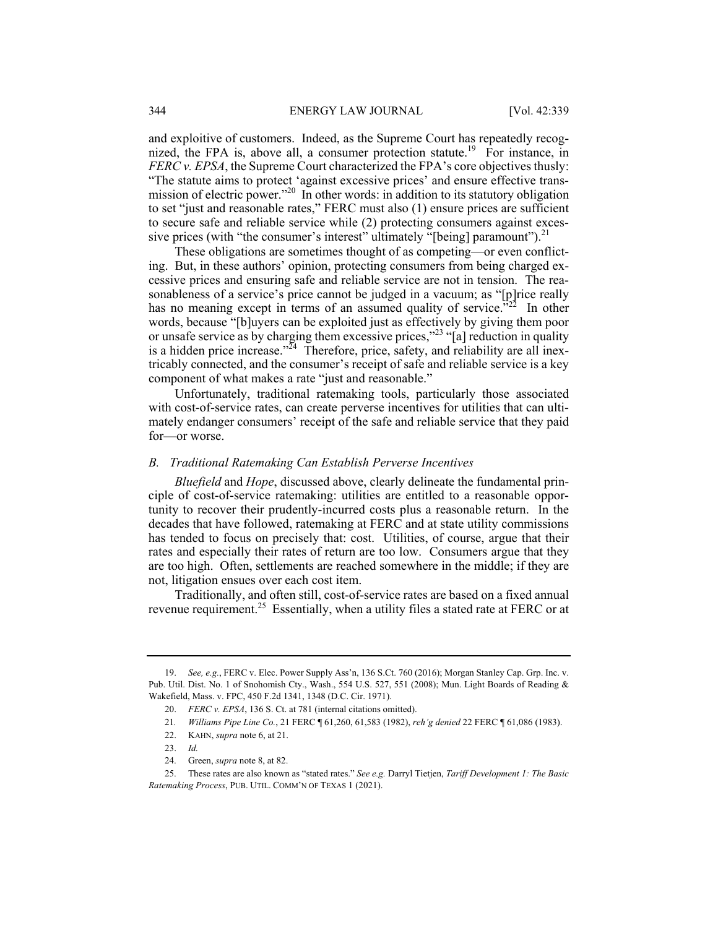and exploitive of customers. Indeed, as the Supreme Court has repeatedly recognized, the FPA is, above all, a consumer protection statute.<sup>19</sup> For instance, in *FERC v. EPSA*, the Supreme Court characterized the FPA's core objectives thusly: "The statute aims to protect 'against excessive prices' and ensure effective transmission of electric power."<sup>20</sup> In other words: in addition to its statutory obligation to set "just and reasonable rates," FERC must also (1) ensure prices are sufficient to secure safe and reliable service while (2) protecting consumers against excessive prices (with "the consumer's interest" ultimately "[being] paramount").  $21$ 

These obligations are sometimes thought of as competing—or even conflicting. But, in these authors' opinion, protecting consumers from being charged excessive prices and ensuring safe and reliable service are not in tension. The reasonableness of a service's price cannot be judged in a vacuum; as "[p]rice really has no meaning except in terms of an assumed quality of service."<sup>22</sup> In other words, because "[b]uyers can be exploited just as effectively by giving them poor or unsafe service as by charging them excessive prices,"23 "[a] reduction in quality is a hidden price increase."<sup>24</sup> Therefore, price, safety, and reliability are all inextricably connected, and the consumer's receipt of safe and reliable service is a key component of what makes a rate "just and reasonable."

Unfortunately, traditional ratemaking tools, particularly those associated with cost-of-service rates, can create perverse incentives for utilities that can ultimately endanger consumers' receipt of the safe and reliable service that they paid for—or worse.

#### *B. Traditional Ratemaking Can Establish Perverse Incentives*

*Bluefield* and *Hope*, discussed above, clearly delineate the fundamental principle of cost-of-service ratemaking: utilities are entitled to a reasonable opportunity to recover their prudently-incurred costs plus a reasonable return. In the decades that have followed, ratemaking at FERC and at state utility commissions has tended to focus on precisely that: cost. Utilities, of course, argue that their rates and especially their rates of return are too low. Consumers argue that they are too high. Often, settlements are reached somewhere in the middle; if they are not, litigation ensues over each cost item.

Traditionally, and often still, cost-of-service rates are based on a fixed annual revenue requirement.<sup>25</sup> Essentially, when a utility files a stated rate at FERC or at

 <sup>19.</sup> *See, e.g.*, FERC v. Elec. Power Supply Ass'n, 136 S.Ct. 760 (2016); Morgan Stanley Cap. Grp. Inc. v. Pub. Util. Dist. No. 1 of Snohomish Cty., Wash., 554 U.S. 527, 551 (2008); Mun. Light Boards of Reading & Wakefield, Mass. v. FPC, 450 F.2d 1341, 1348 (D.C. Cir. 1971).

 <sup>20.</sup> *FERC v. EPSA*, 136 S. Ct. at 781 (internal citations omitted).

<sup>21</sup>*. Williams Pipe Line Co.*, 21 FERC ¶ 61,260, 61,583 (1982), *reh'g denied* 22 FERC ¶ 61,086 (1983).

 <sup>22.</sup> KAHN, *supra* note 6, at 21.

 <sup>23.</sup> *Id.*

 <sup>24.</sup> Green, *supra* note 8, at 82.

 <sup>25.</sup> These rates are also known as "stated rates." *See e.g.* Darryl Tietjen, *Tariff Development 1: The Basic Ratemaking Process*, PUB. UTIL. COMM'N OF TEXAS 1 (2021).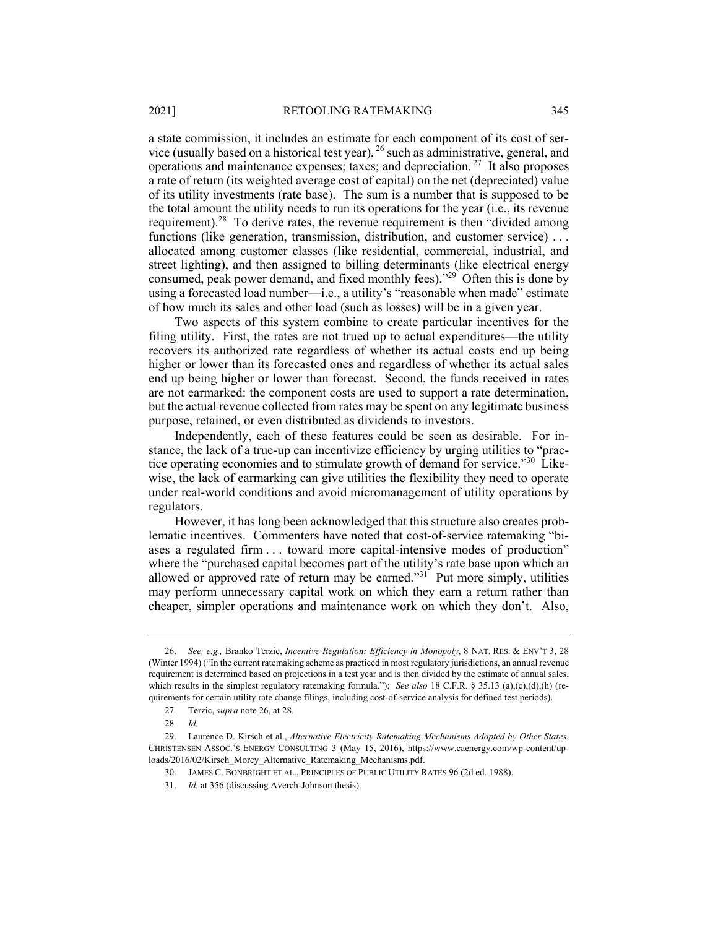a state commission, it includes an estimate for each component of its cost of service (usually based on a historical test year),  $^{26}$  such as administrative, general, and operations and maintenance expenses; taxes; and depreciation. 27 It also proposes a rate of return (its weighted average cost of capital) on the net (depreciated) value of its utility investments (rate base). The sum is a number that is supposed to be the total amount the utility needs to run its operations for the year (i.e., its revenue requirement).<sup>28</sup> To derive rates, the revenue requirement is then "divided among functions (like generation, transmission, distribution, and customer service) . . . allocated among customer classes (like residential, commercial, industrial, and street lighting), and then assigned to billing determinants (like electrical energy consumed, peak power demand, and fixed monthly fees)."<sup>29</sup> Often this is done by using a forecasted load number—i.e., a utility's "reasonable when made" estimate of how much its sales and other load (such as losses) will be in a given year.

Two aspects of this system combine to create particular incentives for the filing utility. First, the rates are not trued up to actual expenditures—the utility recovers its authorized rate regardless of whether its actual costs end up being higher or lower than its forecasted ones and regardless of whether its actual sales end up being higher or lower than forecast. Second, the funds received in rates are not earmarked: the component costs are used to support a rate determination, but the actual revenue collected from rates may be spent on any legitimate business purpose, retained, or even distributed as dividends to investors.

Independently, each of these features could be seen as desirable. For instance, the lack of a true-up can incentivize efficiency by urging utilities to "practice operating economies and to stimulate growth of demand for service."<sup>30</sup> Likewise, the lack of earmarking can give utilities the flexibility they need to operate under real-world conditions and avoid micromanagement of utility operations by regulators.

However, it has long been acknowledged that this structure also creates problematic incentives. Commenters have noted that cost-of-service ratemaking "biases a regulated firm . . . toward more capital-intensive modes of production" where the "purchased capital becomes part of the utility's rate base upon which an allowed or approved rate of return may be earned."<sup>31</sup> Put more simply, utilities may perform unnecessary capital work on which they earn a return rather than cheaper, simpler operations and maintenance work on which they don't. Also,

 <sup>26.</sup> *See, e.g.,* Branko Terzic, *Incentive Regulation: Efficiency in Monopoly*, 8 NAT. RES. & ENV'T 3, 28 (Winter 1994) ("In the current ratemaking scheme as practiced in most regulatory jurisdictions, an annual revenue requirement is determined based on projections in a test year and is then divided by the estimate of annual sales, which results in the simplest regulatory ratemaking formula."); *See also* 18 C.F.R. § 35.13 (a),(c),(d),(h) (requirements for certain utility rate change filings, including cost-of-service analysis for defined test periods).

<sup>27</sup>*.* Terzic, *supra* note 26, at 28.

<sup>28</sup>*. Id.*

 <sup>29.</sup> Laurence D. Kirsch et al., *Alternative Electricity Ratemaking Mechanisms Adopted by Other States*, CHRISTENSEN ASSOC.'S ENERGY CONSULTING 3 (May 15, 2016), https://www.caenergy.com/wp-content/uploads/2016/02/Kirsch\_Morey\_Alternative\_Ratemaking\_Mechanisms.pdf.

 <sup>30.</sup> JAMES C. BONBRIGHT ET AL., PRINCIPLES OF PUBLIC UTILITY RATES 96 (2d ed. 1988).

 <sup>31.</sup> *Id.* at 356 (discussing Averch-Johnson thesis).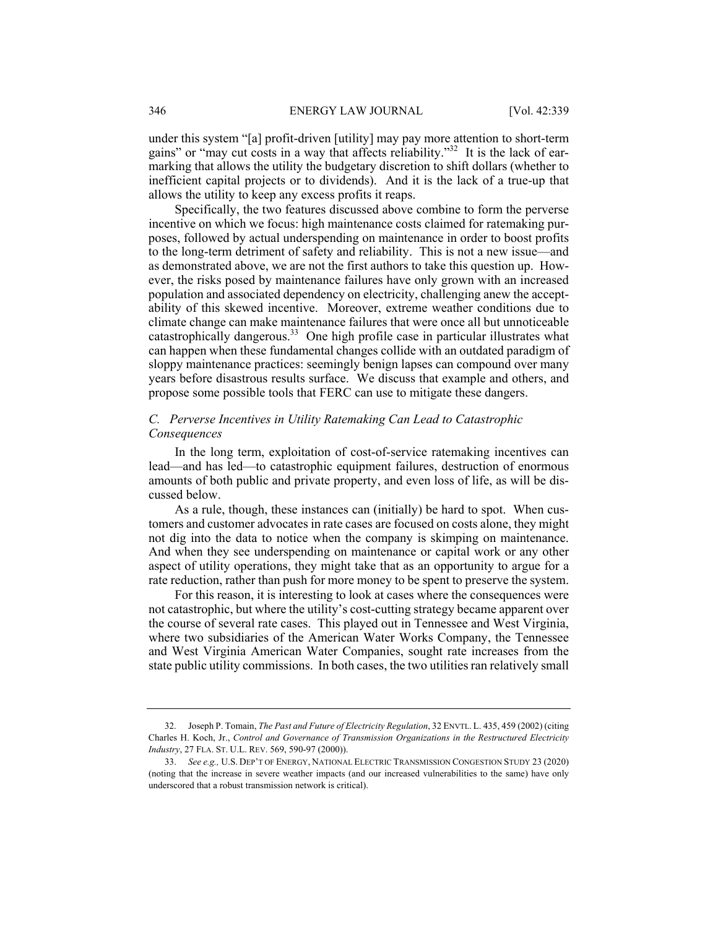under this system "[a] profit-driven [utility] may pay more attention to short-term gains" or "may cut costs in a way that affects reliability."<sup>32</sup> It is the lack of earmarking that allows the utility the budgetary discretion to shift dollars (whether to inefficient capital projects or to dividends). And it is the lack of a true-up that allows the utility to keep any excess profits it reaps.

Specifically, the two features discussed above combine to form the perverse incentive on which we focus: high maintenance costs claimed for ratemaking purposes, followed by actual underspending on maintenance in order to boost profits to the long-term detriment of safety and reliability. This is not a new issue—and as demonstrated above, we are not the first authors to take this question up. However, the risks posed by maintenance failures have only grown with an increased population and associated dependency on electricity, challenging anew the acceptability of this skewed incentive. Moreover, extreme weather conditions due to climate change can make maintenance failures that were once all but unnoticeable catastrophically dangerous.33 One high profile case in particular illustrates what can happen when these fundamental changes collide with an outdated paradigm of sloppy maintenance practices: seemingly benign lapses can compound over many years before disastrous results surface. We discuss that example and others, and propose some possible tools that FERC can use to mitigate these dangers.

# *C. Perverse Incentives in Utility Ratemaking Can Lead to Catastrophic Consequences*

In the long term, exploitation of cost-of-service ratemaking incentives can lead—and has led—to catastrophic equipment failures, destruction of enormous amounts of both public and private property, and even loss of life, as will be discussed below.

As a rule, though, these instances can (initially) be hard to spot. When customers and customer advocates in rate cases are focused on costs alone, they might not dig into the data to notice when the company is skimping on maintenance. And when they see underspending on maintenance or capital work or any other aspect of utility operations, they might take that as an opportunity to argue for a rate reduction, rather than push for more money to be spent to preserve the system.

For this reason, it is interesting to look at cases where the consequences were not catastrophic, but where the utility's cost-cutting strategy became apparent over the course of several rate cases. This played out in Tennessee and West Virginia, where two subsidiaries of the American Water Works Company, the Tennessee and West Virginia American Water Companies, sought rate increases from the state public utility commissions. In both cases, the two utilities ran relatively small

 <sup>32.</sup> Joseph P. Tomain, *The Past and Future of Electricity Regulation*, 32 ENVTL. L. 435, 459 (2002) (citing Charles H. Koch, Jr., *Control and Governance of Transmission Organizations in the Restructured Electricity Industry*, 27 FLA. ST. U.L. REV. 569, 590-97 (2000)).

 <sup>33.</sup> *See e.g.,* U.S. DEP'T OF ENERGY, NATIONAL ELECTRIC TRANSMISSION CONGESTION STUDY 23 (2020) (noting that the increase in severe weather impacts (and our increased vulnerabilities to the same) have only underscored that a robust transmission network is critical).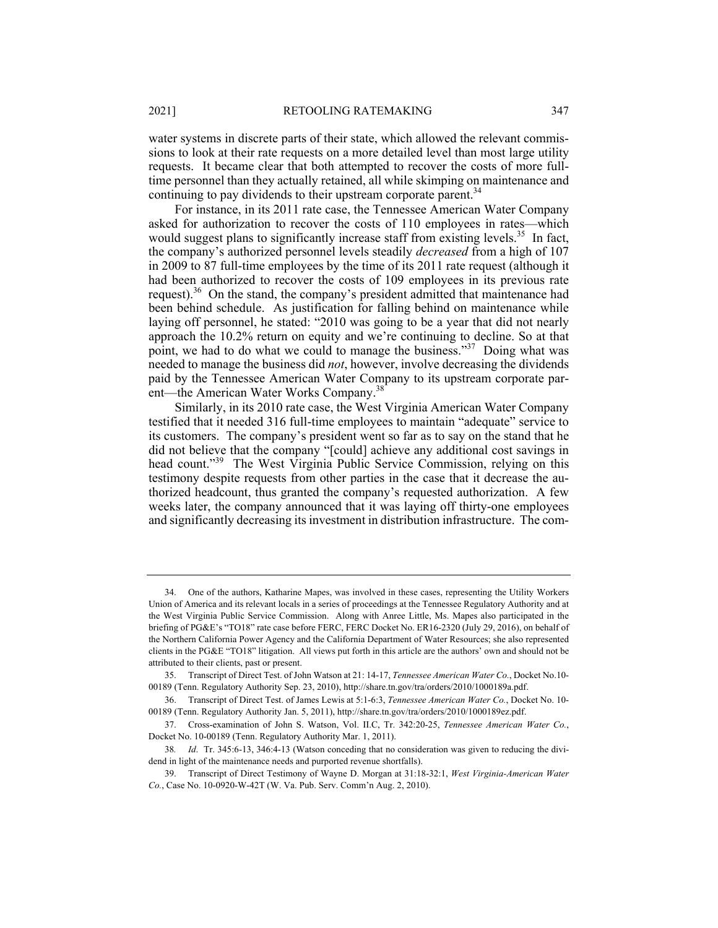water systems in discrete parts of their state, which allowed the relevant commissions to look at their rate requests on a more detailed level than most large utility requests. It became clear that both attempted to recover the costs of more fulltime personnel than they actually retained, all while skimping on maintenance and continuing to pay dividends to their upstream corporate parent.<sup>34</sup>

For instance, in its 2011 rate case, the Tennessee American Water Company asked for authorization to recover the costs of 110 employees in rates—which would suggest plans to significantly increase staff from existing levels.<sup>35</sup> In fact, the company's authorized personnel levels steadily *decreased* from a high of 107 in 2009 to 87 full-time employees by the time of its 2011 rate request (although it had been authorized to recover the costs of 109 employees in its previous rate request).<sup>36</sup> On the stand, the company's president admitted that maintenance had been behind schedule. As justification for falling behind on maintenance while laying off personnel, he stated: "2010 was going to be a year that did not nearly approach the 10.2% return on equity and we're continuing to decline. So at that point, we had to do what we could to manage the business."<sup>37</sup> Doing what was needed to manage the business did *not*, however, involve decreasing the dividends paid by the Tennessee American Water Company to its upstream corporate parent—the American Water Works Company.38

Similarly, in its 2010 rate case, the West Virginia American Water Company testified that it needed 316 full-time employees to maintain "adequate" service to its customers. The company's president went so far as to say on the stand that he did not believe that the company "[could] achieve any additional cost savings in head count."<sup>39</sup> The West Virginia Public Service Commission, relying on this testimony despite requests from other parties in the case that it decrease the authorized headcount, thus granted the company's requested authorization. A few weeks later, the company announced that it was laying off thirty-one employees and significantly decreasing its investment in distribution infrastructure. The com-

 <sup>34.</sup> One of the authors, Katharine Mapes, was involved in these cases, representing the Utility Workers Union of America and its relevant locals in a series of proceedings at the Tennessee Regulatory Authority and at the West Virginia Public Service Commission. Along with Anree Little, Ms. Mapes also participated in the briefing of PG&E's "TO18" rate case before FERC, FERC Docket No. ER16-2320 (July 29, 2016), on behalf of the Northern California Power Agency and the California Department of Water Resources; she also represented clients in the PG&E "TO18" litigation. All views put forth in this article are the authors' own and should not be attributed to their clients, past or present.

 <sup>35.</sup> Transcript of Direct Test. of John Watson at 21: 14-17, *Tennessee American Water Co.*, Docket No.10- 00189 (Tenn. Regulatory Authority Sep. 23, 2010), http://share.tn.gov/tra/orders/2010/1000189a.pdf.

 <sup>36.</sup> Transcript of Direct Test. of James Lewis at 5:1-6:3, *Tennessee American Water Co.*, Docket No. 10- 00189 (Tenn. Regulatory Authority Jan. 5, 2011), http://share.tn.gov/tra/orders/2010/1000189ez.pdf.

 <sup>37.</sup> Cross-examination of John S. Watson, Vol. II.C, Tr. 342:20-25, *Tennessee American Water Co.*, Docket No. 10-00189 (Tenn. Regulatory Authority Mar. 1, 2011).

<sup>38</sup>*. Id*. Tr. 345:6-13, 346:4-13 (Watson conceding that no consideration was given to reducing the dividend in light of the maintenance needs and purported revenue shortfalls).

 <sup>39.</sup> Transcript of Direct Testimony of Wayne D. Morgan at 31:18-32:1, *West Virginia-American Water Co.*, Case No. 10-0920-W-42T (W. Va. Pub. Serv. Comm'n Aug. 2, 2010).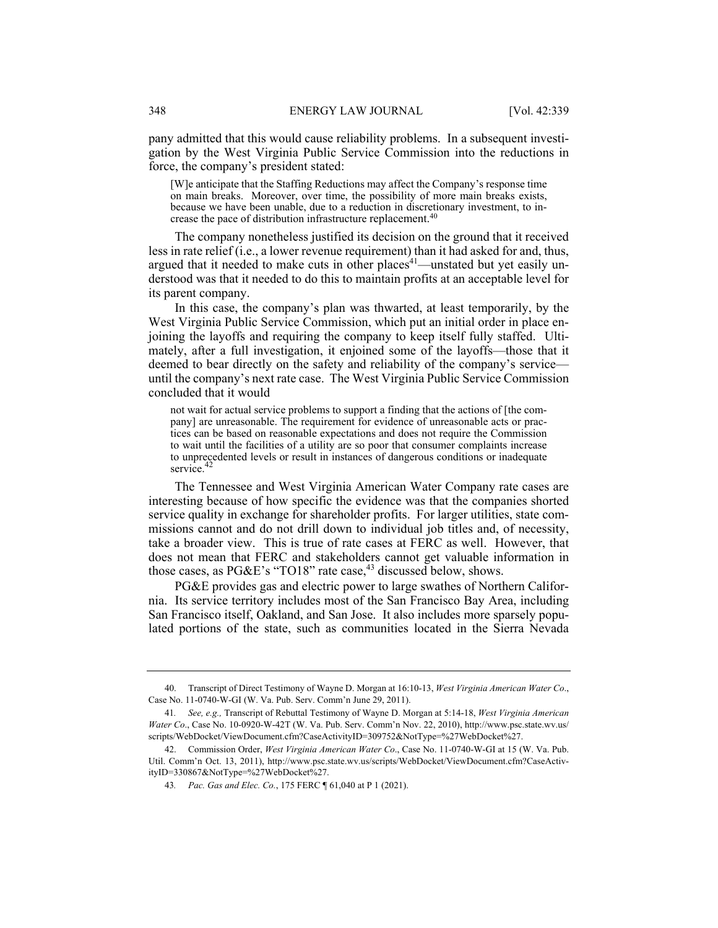pany admitted that this would cause reliability problems. In a subsequent investigation by the West Virginia Public Service Commission into the reductions in force, the company's president stated:

[W]e anticipate that the Staffing Reductions may affect the Company's response time on main breaks. Moreover, over time, the possibility of more main breaks exists, because we have been unable, due to a reduction in discretionary investment, to increase the pace of distribution infrastructure replacement.<sup>40</sup>

The company nonetheless justified its decision on the ground that it received less in rate relief (i.e., a lower revenue requirement) than it had asked for and, thus, argued that it needed to make cuts in other  $places<sup>41</sup>$ —unstated but yet easily understood was that it needed to do this to maintain profits at an acceptable level for its parent company.

In this case, the company's plan was thwarted, at least temporarily, by the West Virginia Public Service Commission, which put an initial order in place enjoining the layoffs and requiring the company to keep itself fully staffed. Ultimately, after a full investigation, it enjoined some of the layoffs—those that it deemed to bear directly on the safety and reliability of the company's service until the company's next rate case. The West Virginia Public Service Commission concluded that it would

not wait for actual service problems to support a finding that the actions of [the company] are unreasonable. The requirement for evidence of unreasonable acts or practices can be based on reasonable expectations and does not require the Commission to wait until the facilities of a utility are so poor that consumer complaints increase to unprecedented levels or result in instances of dangerous conditions or inadequate service.<sup>42</sup>

The Tennessee and West Virginia American Water Company rate cases are interesting because of how specific the evidence was that the companies shorted service quality in exchange for shareholder profits. For larger utilities, state commissions cannot and do not drill down to individual job titles and, of necessity, take a broader view. This is true of rate cases at FERC as well. However, that does not mean that FERC and stakeholders cannot get valuable information in those cases, as  $PGE$ 's "TO18" rate case,<sup>43</sup> discussed below, shows.

PG&E provides gas and electric power to large swathes of Northern California. Its service territory includes most of the San Francisco Bay Area, including San Francisco itself, Oakland, and San Jose. It also includes more sparsely populated portions of the state, such as communities located in the Sierra Nevada

 <sup>40.</sup> Transcript of Direct Testimony of Wayne D. Morgan at 16:10-13, *West Virginia American Water Co*., Case No. 11-0740-W-GI (W. Va. Pub. Serv. Comm'n June 29, 2011).

<sup>41</sup>*. See, e.g.,* Transcript of Rebuttal Testimony of Wayne D. Morgan at 5:14-18, *West Virginia American Water Co*., Case No. 10-0920-W-42T (W. Va. Pub. Serv. Comm'n Nov. 22, 2010), http://www.psc.state.wv.us/ scripts/WebDocket/ViewDocument.cfm?CaseActivityID=309752&NotType=%27WebDocket%27.

 <sup>42.</sup> Commission Order, *West Virginia American Water Co*., Case No. 11-0740-W-GI at 15 (W. Va. Pub. Util. Comm'n Oct. 13, 2011), http://www.psc.state.wv.us/scripts/WebDocket/ViewDocument.cfm?CaseActivityID=330867&NotType=%27WebDocket%27.

<sup>43</sup>*. Pac. Gas and Elec. Co.*, 175 FERC ¶ 61,040 at P 1 (2021).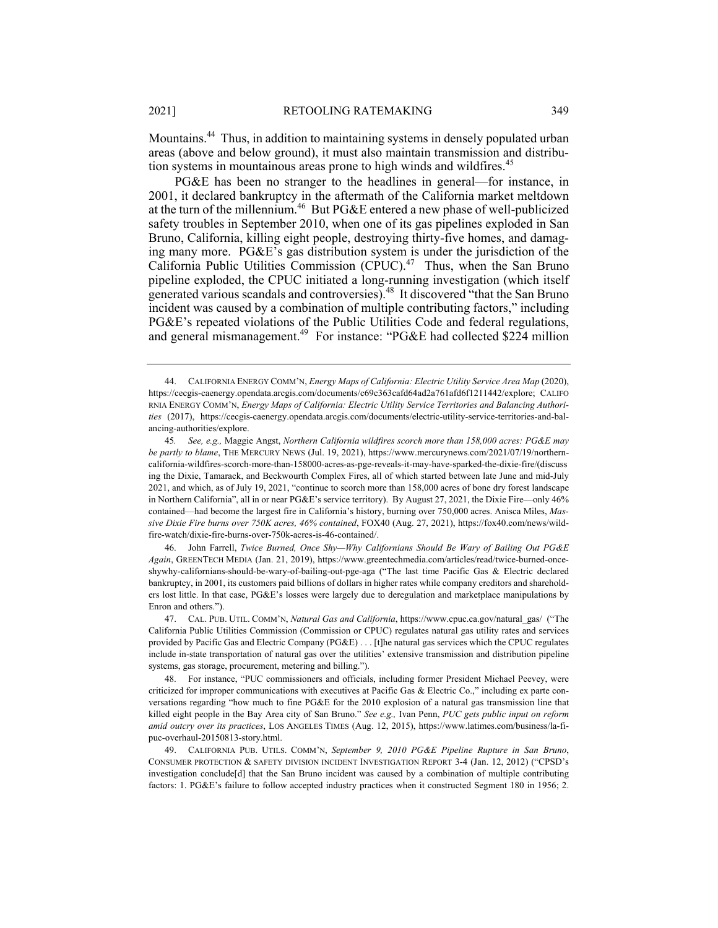Mountains.44 Thus, in addition to maintaining systems in densely populated urban areas (above and below ground), it must also maintain transmission and distribution systems in mountainous areas prone to high winds and wildfires.<sup>45</sup>

PG&E has been no stranger to the headlines in general—for instance, in 2001, it declared bankruptcy in the aftermath of the California market meltdown at the turn of the millennium.46 But PG&E entered a new phase of well-publicized safety troubles in September 2010, when one of its gas pipelines exploded in San Bruno, California, killing eight people, destroying thirty-five homes, and damaging many more. PG&E's gas distribution system is under the jurisdiction of the California Public Utilities Commission (CPUC).<sup>47</sup> Thus, when the San Bruno pipeline exploded, the CPUC initiated a long-running investigation (which itself generated various scandals and controversies).<sup>48</sup> It discovered "that the San Bruno incident was caused by a combination of multiple contributing factors," including PG&E's repeated violations of the Public Utilities Code and federal regulations, and general mismanagement.<sup>49</sup> For instance: "PG&E had collected \$224 million

 46. John Farrell, *Twice Burned, Once Shy—Why Californians Should Be Wary of Bailing Out PG&E Again*, GREENTECH MEDIA (Jan. 21, 2019), https://www.greentechmedia.com/articles/read/twice-burned-onceshywhy-californians-should-be-wary-of-bailing-out-pge-aga ("The last time Pacific Gas & Electric declared bankruptcy, in 2001, its customers paid billions of dollars in higher rates while company creditors and shareholders lost little. In that case, PG&E's losses were largely due to deregulation and marketplace manipulations by Enron and others.").

 47. CAL. PUB. UTIL. COMM'N, *Natural Gas and California*, https://www.cpuc.ca.gov/natural\_gas/ ("The California Public Utilities Commission (Commission or CPUC) regulates natural gas utility rates and services provided by Pacific Gas and Electric Company (PG&E) . . . [t]he natural gas services which the CPUC regulates include in-state transportation of natural gas over the utilities' extensive transmission and distribution pipeline systems, gas storage, procurement, metering and billing.").

 48. For instance, "PUC commissioners and officials, including former President Michael Peevey, were criticized for improper communications with executives at Pacific Gas & Electric Co.," including ex parte conversations regarding "how much to fine PG&E for the 2010 explosion of a natural gas transmission line that killed eight people in the Bay Area city of San Bruno." *See e.g.,* Ivan Penn, *PUC gets public input on reform amid outcry over its practices*, LOS ANGELES TIMES (Aug. 12, 2015), https://www.latimes.com/business/la-fipuc-overhaul-20150813-story.html.

 49. CALIFORNIA PUB. UTILS. COMM'N, *September 9, 2010 PG&E Pipeline Rupture in San Bruno*, CONSUMER PROTECTION & SAFETY DIVISION INCIDENT INVESTIGATION REPORT 3-4 (Jan. 12, 2012) ("CPSD's investigation conclude[d] that the San Bruno incident was caused by a combination of multiple contributing factors: 1. PG&E's failure to follow accepted industry practices when it constructed Segment 180 in 1956; 2.

<sup>44.</sup> CALIFORNIA ENERGY COMM'N, *Energy Maps of California: Electric Utility Service Area Map* (2020), https://cecgis-caenergy.opendata.arcgis.com/documents/c69c363cafd64ad2a761afd6f1211442/explore; CALIFO RNIA ENERGY COMM'N, *Energy Maps of California: Electric Utility Service Territories and Balancing Authorities* (2017), https://cecgis-caenergy.opendata.arcgis.com/documents/electric-utility-service-territories-and-balancing-authorities/explore.

<sup>45</sup>*. See, e.g.,* Maggie Angst, *Northern California wildfires scorch more than 158,000 acres: PG&E may be partly to blame*, THE MERCURY NEWS (Jul. 19, 2021), https://www.mercurynews.com/2021/07/19/northerncalifornia-wildfires-scorch-more-than-158000-acres-as-pge-reveals-it-may-have-sparked-the-dixie-fire/(discuss ing the Dixie, Tamarack, and Beckwourth Complex Fires, all of which started between late June and mid-July 2021, and which, as of July 19, 2021, "continue to scorch more than 158,000 acres of bone dry forest landscape in Northern California", all in or near PG&E's service territory). By August 27, 2021, the Dixie Fire—only 46% contained—had become the largest fire in California's history, burning over 750,000 acres. Anisca Miles, *Massive Dixie Fire burns over 750K acres, 46% contained*, FOX40 (Aug. 27, 2021), https://fox40.com/news/wildfire-watch/dixie-fire-burns-over-750k-acres-is-46-contained/.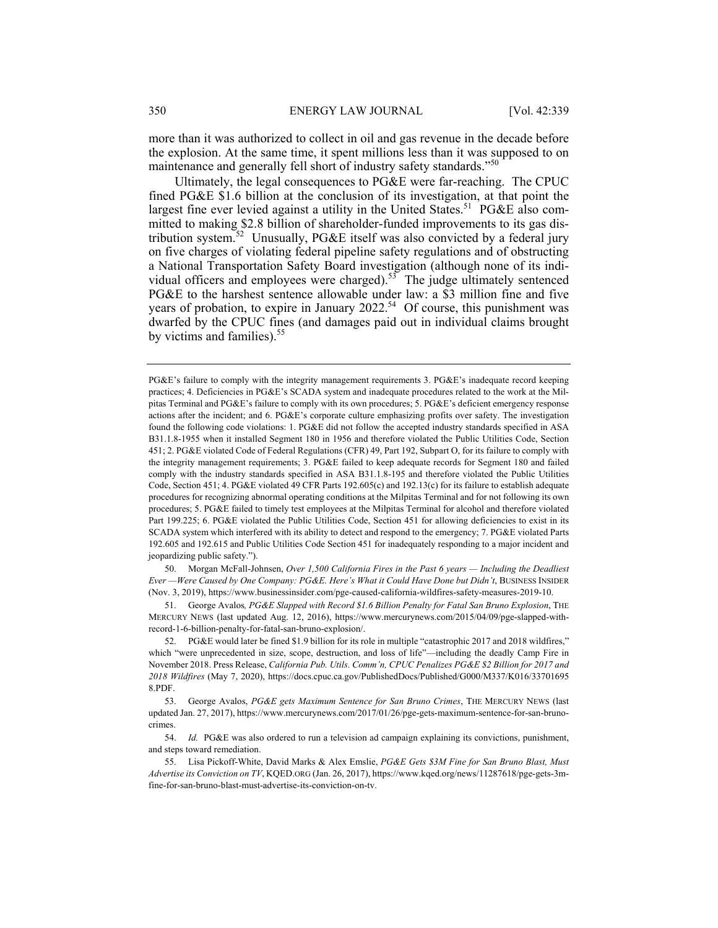more than it was authorized to collect in oil and gas revenue in the decade before the explosion. At the same time, it spent millions less than it was supposed to on maintenance and generally fell short of industry safety standards."<sup>50</sup>

Ultimately, the legal consequences to PG&E were far-reaching. The CPUC fined PG&E \$1.6 billion at the conclusion of its investigation, at that point the largest fine ever levied against a utility in the United States.<sup>51</sup> PG&E also committed to making \$2.8 billion of shareholder-funded improvements to its gas distribution system.52 Unusually, PG&E itself was also convicted by a federal jury on five charges of violating federal pipeline safety regulations and of obstructing a National Transportation Safety Board investigation (although none of its individual officers and employees were charged).<sup>53</sup> The judge ultimately sentenced PG&E to the harshest sentence allowable under law: a \$3 million fine and five years of probation, to expire in January  $2022^{54}$  Of course, this punishment was dwarfed by the CPUC fines (and damages paid out in individual claims brought by victims and families).<sup>55</sup>

 50. Morgan McFall-Johnsen, *Over 1,500 California Fires in the Past 6 years — Including the Deadliest Ever —Were Caused by One Company: PG&E. Here's What it Could Have Done but Didn't*, BUSINESS INSIDER (Nov. 3, 2019), https://www.businessinsider.com/pge-caused-california-wildfires-safety-measures-2019-10.

 51. George Avalos*, PG&E Slapped with Record \$1.6 Billion Penalty for Fatal San Bruno Explosion*, THE MERCURY NEWS (last updated Aug. 12, 2016), https://www.mercurynews.com/2015/04/09/pge-slapped-withrecord-1-6-billion-penalty-for-fatal-san-bruno-explosion/.

 52. PG&E would later be fined \$1.9 billion for its role in multiple "catastrophic 2017 and 2018 wildfires," which "were unprecedented in size, scope, destruction, and loss of life"—including the deadly Camp Fire in November 2018. Press Release, *California Pub. Utils. Comm'n, CPUC Penalizes PG&E \$2 Billion for 2017 and 2018 Wildfires* (May 7, 2020), https://docs.cpuc.ca.gov/PublishedDocs/Published/G000/M337/K016/33701695 8.PDF.

 53. George Avalos, *PG&E gets Maximum Sentence for San Bruno Crimes*, THE MERCURY NEWS (last updated Jan. 27, 2017), https://www.mercurynews.com/2017/01/26/pge-gets-maximum-sentence-for-san-brunocrimes.

 54. *Id.* PG&E was also ordered to run a television ad campaign explaining its convictions, punishment, and steps toward remediation.

 55. Lisa Pickoff-White, David Marks & Alex Emslie, *PG&E Gets \$3M Fine for San Bruno Blast, Must Advertise its Conviction on TV*, KQED.ORG (Jan. 26, 2017), https://www.kqed.org/news/11287618/pge-gets-3mfine-for-san-bruno-blast-must-advertise-its-conviction-on-tv.

PG&E's failure to comply with the integrity management requirements 3. PG&E's inadequate record keeping practices; 4. Deficiencies in PG&E's SCADA system and inadequate procedures related to the work at the Milpitas Terminal and PG&E's failure to comply with its own procedures; 5. PG&E's deficient emergency response actions after the incident; and 6. PG&E's corporate culture emphasizing profits over safety. The investigation found the following code violations: 1. PG&E did not follow the accepted industry standards specified in ASA B31.1.8-1955 when it installed Segment 180 in 1956 and therefore violated the Public Utilities Code, Section 451; 2. PG&E violated Code of Federal Regulations (CFR) 49, Part 192, Subpart O, for its failure to comply with the integrity management requirements; 3. PG&E failed to keep adequate records for Segment 180 and failed comply with the industry standards specified in ASA B31.1.8-195 and therefore violated the Public Utilities Code, Section 451; 4. PG&E violated 49 CFR Parts 192.605(c) and 192.13(c) for its failure to establish adequate procedures for recognizing abnormal operating conditions at the Milpitas Terminal and for not following its own procedures; 5. PG&E failed to timely test employees at the Milpitas Terminal for alcohol and therefore violated Part 199.225; 6. PG&E violated the Public Utilities Code, Section 451 for allowing deficiencies to exist in its SCADA system which interfered with its ability to detect and respond to the emergency; 7. PG&E violated Parts 192.605 and 192.615 and Public Utilities Code Section 451 for inadequately responding to a major incident and jeopardizing public safety.").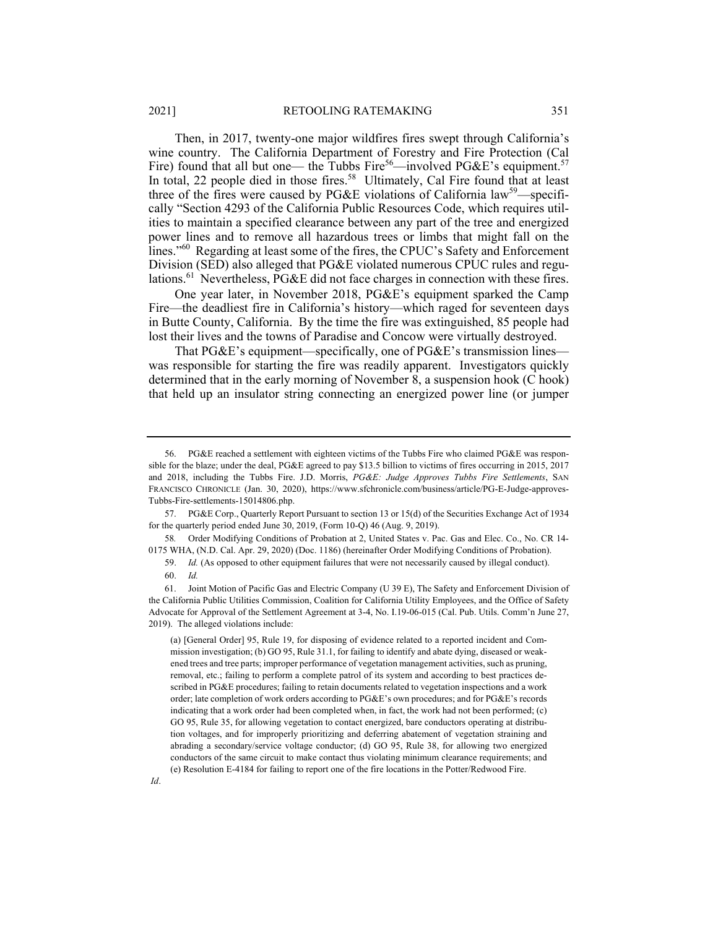Then, in 2017, twenty-one major wildfires fires swept through California's wine country. The California Department of Forestry and Fire Protection (Cal Fire) found that all but one— the Tubbs Fire<sup>56</sup>—involved PG&E's equipment.<sup>57</sup> In total, 22 people died in those fires.<sup>58</sup> Ultimately, Cal Fire found that at least three of the fires were caused by PG&E violations of California law<sup>59</sup>—specifically "Section 4293 of the California Public Resources Code, which requires utilities to maintain a specified clearance between any part of the tree and energized power lines and to remove all hazardous trees or limbs that might fall on the lines."<sup>60</sup> Regarding at least some of the fires, the CPUC's Safety and Enforcement Division (SED) also alleged that PG&E violated numerous CPUC rules and regulations.<sup>61</sup> Nevertheless, PG&E did not face charges in connection with these fires.

One year later, in November 2018, PG&E's equipment sparked the Camp Fire—the deadliest fire in California's history—which raged for seventeen days in Butte County, California. By the time the fire was extinguished, 85 people had lost their lives and the towns of Paradise and Concow were virtually destroyed.

That PG&E's equipment—specifically, one of PG&E's transmission lines was responsible for starting the fire was readily apparent. Investigators quickly determined that in the early morning of November 8, a suspension hook (C hook) that held up an insulator string connecting an energized power line (or jumper

 <sup>56.</sup> PG&E reached a settlement with eighteen victims of the Tubbs Fire who claimed PG&E was responsible for the blaze; under the deal, PG&E agreed to pay \$13.5 billion to victims of fires occurring in 2015, 2017 and 2018, including the Tubbs Fire. J.D. Morris, *PG&E: Judge Approves Tubbs Fire Settlements*, SAN FRANCISCO CHRONICLE (Jan. 30, 2020), https://www.sfchronicle.com/business/article/PG-E-Judge-approves-Tubbs-Fire-settlements-15014806.php.

 <sup>57.</sup> PG&E Corp., Quarterly Report Pursuant to section 13 or 15(d) of the Securities Exchange Act of 1934 for the quarterly period ended June 30, 2019, (Form 10-Q) 46 (Aug. 9, 2019).

<sup>58</sup>*.* Order Modifying Conditions of Probation at 2, United States v. Pac. Gas and Elec. Co., No. CR 14- 0175 WHA, (N.D. Cal. Apr. 29, 2020) (Doc. 1186) (hereinafter Order Modifying Conditions of Probation).

 <sup>59.</sup> *Id.* (As opposed to other equipment failures that were not necessarily caused by illegal conduct). 60. *Id.*

 <sup>61.</sup> Joint Motion of Pacific Gas and Electric Company (U 39 E), The Safety and Enforcement Division of the California Public Utilities Commission, Coalition for California Utility Employees, and the Office of Safety Advocate for Approval of the Settlement Agreement at 3-4, No. I.19-06-015 (Cal. Pub. Utils. Comm'n June 27, 2019). The alleged violations include:

<sup>(</sup>a) [General Order] 95, Rule 19, for disposing of evidence related to a reported incident and Commission investigation; (b) GO 95, Rule 31.1, for failing to identify and abate dying, diseased or weakened trees and tree parts; improper performance of vegetation management activities, such as pruning, removal, etc.; failing to perform a complete patrol of its system and according to best practices described in PG&E procedures; failing to retain documents related to vegetation inspections and a work order; late completion of work orders according to PG&E's own procedures; and for PG&E's records indicating that a work order had been completed when, in fact, the work had not been performed; (c) GO 95, Rule 35, for allowing vegetation to contact energized, bare conductors operating at distribution voltages, and for improperly prioritizing and deferring abatement of vegetation straining and abrading a secondary/service voltage conductor; (d) GO 95, Rule 38, for allowing two energized conductors of the same circuit to make contact thus violating minimum clearance requirements; and (e) Resolution E-4184 for failing to report one of the fire locations in the Potter/Redwood Fire.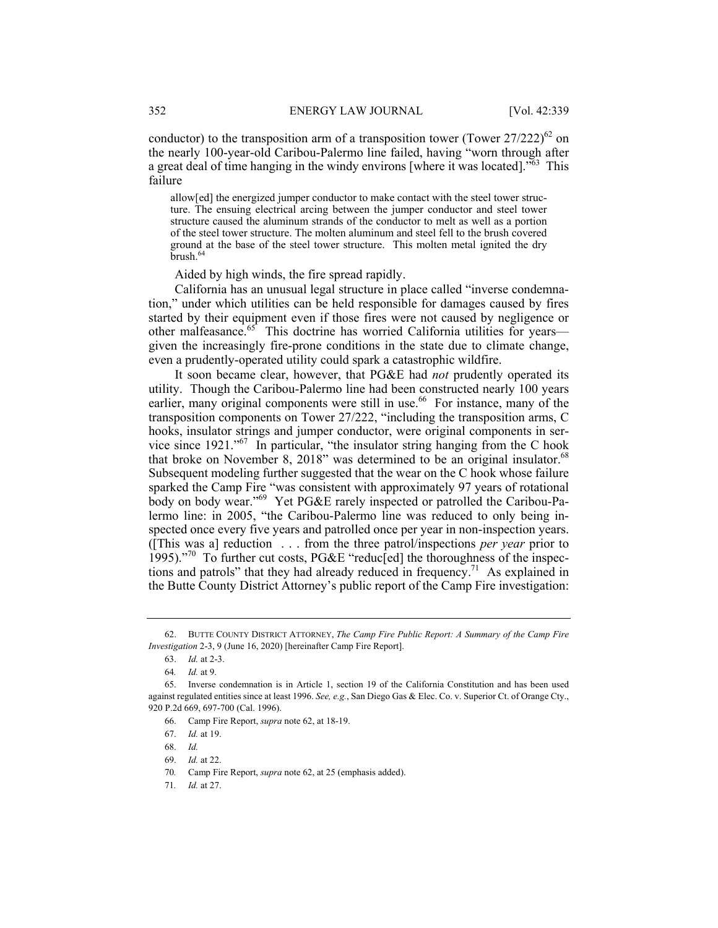conductor) to the transposition arm of a transposition tower (Tower  $27/222$ )<sup>62</sup> on the nearly 100-year-old Caribou-Palermo line failed, having "worn through after a great deal of time hanging in the windy environs [where it was located]."63 This failure

allow[ed] the energized jumper conductor to make contact with the steel tower structure. The ensuing electrical arcing between the jumper conductor and steel tower structure caused the aluminum strands of the conductor to melt as well as a portion of the steel tower structure. The molten aluminum and steel fell to the brush covered ground at the base of the steel tower structure. This molten metal ignited the dry  $brush.<sub>64</sub>$ 

Aided by high winds, the fire spread rapidly.

California has an unusual legal structure in place called "inverse condemnation," under which utilities can be held responsible for damages caused by fires started by their equipment even if those fires were not caused by negligence or other malfeasance.<sup>65</sup> This doctrine has worried California utilities for years given the increasingly fire-prone conditions in the state due to climate change, even a prudently-operated utility could spark a catastrophic wildfire.

It soon became clear, however, that PG&E had *not* prudently operated its utility. Though the Caribou-Palermo line had been constructed nearly 100 years earlier, many original components were still in use.<sup>66</sup> For instance, many of the transposition components on Tower 27/222, "including the transposition arms, C hooks, insulator strings and jumper conductor, were original components in service since 1921."<sup>67</sup> In particular, "the insulator string hanging from the C hook that broke on November 8, 2018" was determined to be an original insulator.<sup>68</sup> Subsequent modeling further suggested that the wear on the C hook whose failure sparked the Camp Fire "was consistent with approximately 97 years of rotational body on body wear."69 Yet PG&E rarely inspected or patrolled the Caribou-Palermo line: in 2005, "the Caribou-Palermo line was reduced to only being inspected once every five years and patrolled once per year in non-inspection years. ([This was a] reduction . . . from the three patrol/inspections *per year* prior to 1995)."70 To further cut costs, PG&E "reduc[ed] the thoroughness of the inspections and patrols" that they had already reduced in frequency.<sup>71</sup> As explained in the Butte County District Attorney's public report of the Camp Fire investigation:

 <sup>62.</sup> BUTTE COUNTY DISTRICT ATTORNEY, *The Camp Fire Public Report: A Summary of the Camp Fire Investigation* 2-3, 9 (June 16, 2020) [hereinafter Camp Fire Report].

 <sup>63.</sup> *Id.* at 2-3.

<sup>64</sup>*. Id.* at 9.

 <sup>65.</sup> Inverse condemnation is in Article 1, section 19 of the California Constitution and has been used against regulated entities since at least 1996. *See, e.g.*, San Diego Gas & Elec. Co. v. Superior Ct. of Orange Cty., 920 P.2d 669, 697-700 (Cal. 1996).

 <sup>66.</sup> Camp Fire Report, *supra* note 62, at 18-19.

 <sup>67.</sup> *Id.* at 19.

 <sup>68.</sup> *Id.*

 <sup>69.</sup> *Id.* at 22.

<sup>70</sup>*.* Camp Fire Report, *supra* note 62, at 25 (emphasis added).

<sup>71</sup>*. Id.* at 27.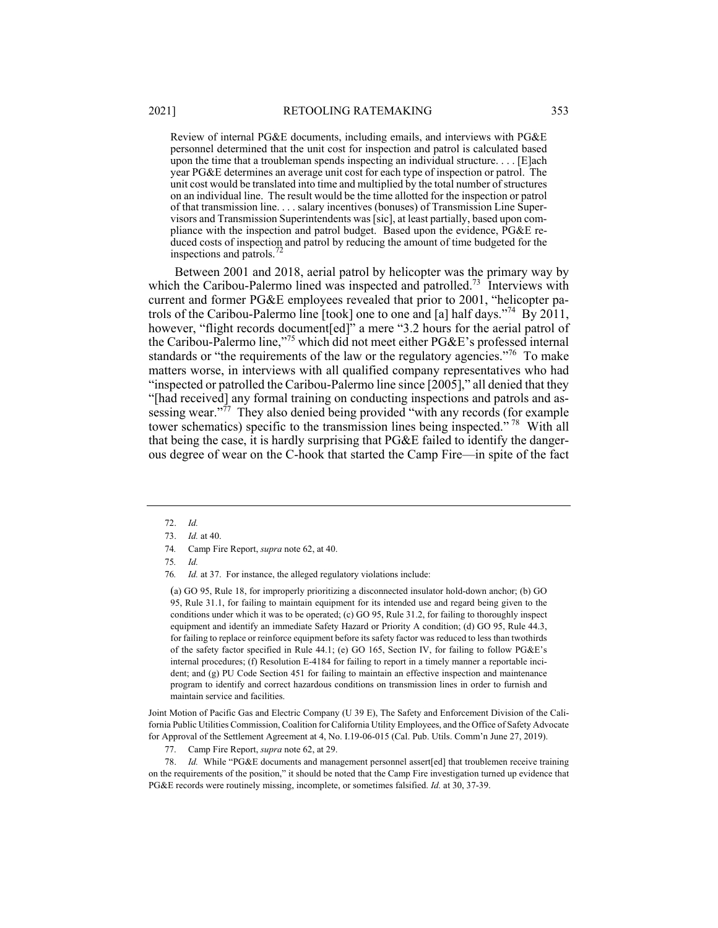Review of internal PG&E documents, including emails, and interviews with PG&E personnel determined that the unit cost for inspection and patrol is calculated based upon the time that a troubleman spends inspecting an individual structure...  $[E]$ ach year PG&E determines an average unit cost for each type of inspection or patrol. The unit cost would be translated into time and multiplied by the total number of structures on an individual line. The result would be the time allotted for the inspection or patrol of that transmission line. . . . salary incentives (bonuses) of Transmission Line Supervisors and Transmission Superintendents was [sic], at least partially, based upon compliance with the inspection and patrol budget. Based upon the evidence, PG&E reduced costs of inspection and patrol by reducing the amount of time budgeted for the inspections and patrols.

Between 2001 and 2018, aerial patrol by helicopter was the primary way by which the Caribou-Palermo lined was inspected and patrolled.<sup>73</sup> Interviews with current and former PG&E employees revealed that prior to 2001, "helicopter patrols of the Caribou-Palermo line [took] one to one and [a] half days."74 By 2011, however, "flight records document[ed]" a mere "3.2 hours for the aerial patrol of the Caribou-Palermo line,"75 which did not meet either PG&E's professed internal standards or "the requirements of the law or the regulatory agencies."<sup>76</sup> To make matters worse, in interviews with all qualified company representatives who had "inspected or patrolled the Caribou-Palermo line since [2005]," all denied that they "[had received] any formal training on conducting inspections and patrols and assessing wear."<sup>77</sup> They also denied being provided "with any records (for example tower schematics) specific to the transmission lines being inspected."<sup>78</sup> With all that being the case, it is hardly surprising that PG&E failed to identify the dangerous degree of wear on the C-hook that started the Camp Fire—in spite of the fact

(a) GO 95, Rule 18, for improperly prioritizing a disconnected insulator hold-down anchor; (b) GO 95, Rule 31.1, for failing to maintain equipment for its intended use and regard being given to the conditions under which it was to be operated; (c) GO 95, Rule 31.2, for failing to thoroughly inspect equipment and identify an immediate Safety Hazard or Priority A condition; (d) GO 95, Rule 44.3, for failing to replace or reinforce equipment before its safety factor was reduced to less than twothirds of the safety factor specified in Rule 44.1; (e) GO 165, Section IV, for failing to follow PG&E's internal procedures; (f) Resolution E-4184 for failing to report in a timely manner a reportable incident; and (g) PU Code Section 451 for failing to maintain an effective inspection and maintenance program to identify and correct hazardous conditions on transmission lines in order to furnish and maintain service and facilities.

Joint Motion of Pacific Gas and Electric Company (U 39 E), The Safety and Enforcement Division of the California Public Utilities Commission, Coalition for California Utility Employees, and the Office of Safety Advocate for Approval of the Settlement Agreement at 4, No. I.19-06-015 (Cal. Pub. Utils. Comm'n June 27, 2019).

77. Camp Fire Report, *supra* note 62, at 29.

 78. *Id.* While "PG&E documents and management personnel assert[ed] that troublemen receive training on the requirements of the position," it should be noted that the Camp Fire investigation turned up evidence that PG&E records were routinely missing, incomplete, or sometimes falsified. *Id.* at 30, 37-39.

 <sup>72.</sup> *Id.*

 <sup>73.</sup> *Id.* at 40.

<sup>74</sup>*.* Camp Fire Report, *supra* note 62, at 40.

<sup>75</sup>*. Id.*

<sup>76</sup>*. Id.* at 37. For instance, the alleged regulatory violations include: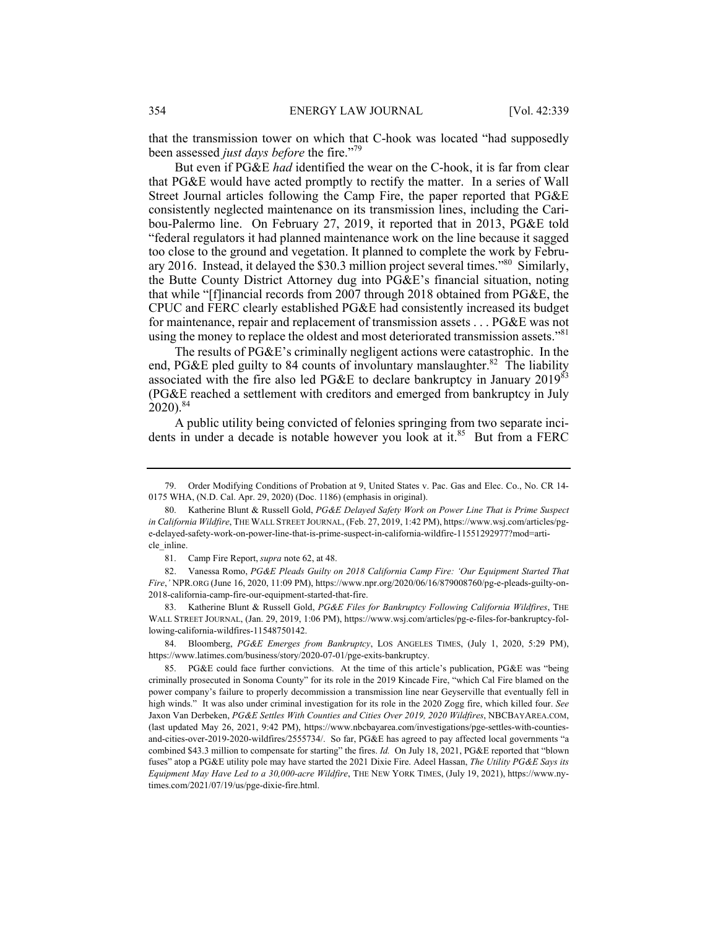that the transmission tower on which that C-hook was located "had supposedly been assessed *just days before* the fire."<sup>79</sup>

But even if PG&E *had* identified the wear on the C-hook, it is far from clear that PG&E would have acted promptly to rectify the matter. In a series of Wall Street Journal articles following the Camp Fire, the paper reported that PG&E consistently neglected maintenance on its transmission lines, including the Caribou-Palermo line. On February 27, 2019, it reported that in 2013, PG&E told "federal regulators it had planned maintenance work on the line because it sagged too close to the ground and vegetation. It planned to complete the work by February 2016. Instead, it delayed the \$30.3 million project several times."80 Similarly, the Butte County District Attorney dug into PG&E's financial situation, noting that while "[f]inancial records from 2007 through 2018 obtained from PG&E, the CPUC and FERC clearly established PG&E had consistently increased its budget for maintenance, repair and replacement of transmission assets . . . PG&E was not using the money to replace the oldest and most deteriorated transmission assets."<sup>81</sup>

The results of PG&E's criminally negligent actions were catastrophic. In the end, PG&E pled guilty to 84 counts of involuntary manslaughter.<sup>82</sup> The liability associated with the fire also led PG&E to declare bankruptcy in January 201983 (PG&E reached a settlement with creditors and emerged from bankruptcy in July  $2020$ ).<sup>84</sup>

A public utility being convicted of felonies springing from two separate incidents in under a decade is notable however you look at it.<sup>85</sup> But from a FERC

 <sup>79.</sup> Order Modifying Conditions of Probation at 9, United States v. Pac. Gas and Elec. Co., No. CR 14- 0175 WHA, (N.D. Cal. Apr. 29, 2020) (Doc. 1186) (emphasis in original).

 <sup>80.</sup> Katherine Blunt & Russell Gold, *PG&E Delayed Safety Work on Power Line That is Prime Suspect in California Wildfire*, THE WALL STREET JOURNAL, (Feb. 27, 2019, 1:42 PM), https://www.wsj.com/articles/pge-delayed-safety-work-on-power-line-that-is-prime-suspect-in-california-wildfire-11551292977?mod=article inline.

 <sup>81.</sup> Camp Fire Report, *supra* note 62, at 48.

 <sup>82.</sup> Vanessa Romo, *PG&E Pleads Guilty on 2018 California Camp Fire: 'Our Equipment Started That Fire*,*'* NPR.ORG (June 16, 2020, 11:09 PM), https://www.npr.org/2020/06/16/879008760/pg-e-pleads-guilty-on-2018-california-camp-fire-our-equipment-started-that-fire.

 <sup>83.</sup> Katherine Blunt & Russell Gold, *PG&E Files for Bankruptcy Following California Wildfires*, THE WALL STREET JOURNAL, (Jan. 29, 2019, 1:06 PM), https://www.wsj.com/articles/pg-e-files-for-bankruptcy-following-california-wildfires-11548750142.

 <sup>84.</sup> Bloomberg, *PG&E Emerges from Bankruptcy*, LOS ANGELES TIMES, (July 1, 2020, 5:29 PM), https://www.latimes.com/business/story/2020-07-01/pge-exits-bankruptcy.

 <sup>85.</sup> PG&E could face further convictions. At the time of this article's publication, PG&E was "being criminally prosecuted in Sonoma County" for its role in the 2019 Kincade Fire, "which Cal Fire blamed on the power company's failure to properly decommission a transmission line near Geyserville that eventually fell in high winds." It was also under criminal investigation for its role in the 2020 Zogg fire, which killed four. *See*  Jaxon Van Derbeken, *PG&E Settles With Counties and Cities Over 2019, 2020 Wildfires*, NBCBAYAREA.COM, (last updated May 26, 2021, 9:42 PM), https://www.nbcbayarea.com/investigations/pge-settles-with-countiesand-cities-over-2019-2020-wildfires/2555734/. So far, PG&E has agreed to pay affected local governments "a combined \$43.3 million to compensate for starting" the fires. *Id.* On July 18, 2021, PG&E reported that "blown fuses" atop a PG&E utility pole may have started the 2021 Dixie Fire. Adeel Hassan, *The Utility PG&E Says its Equipment May Have Led to a 30,000-acre Wildfire*, THE NEW YORK TIMES, (July 19, 2021), https://www.nytimes.com/2021/07/19/us/pge-dixie-fire.html.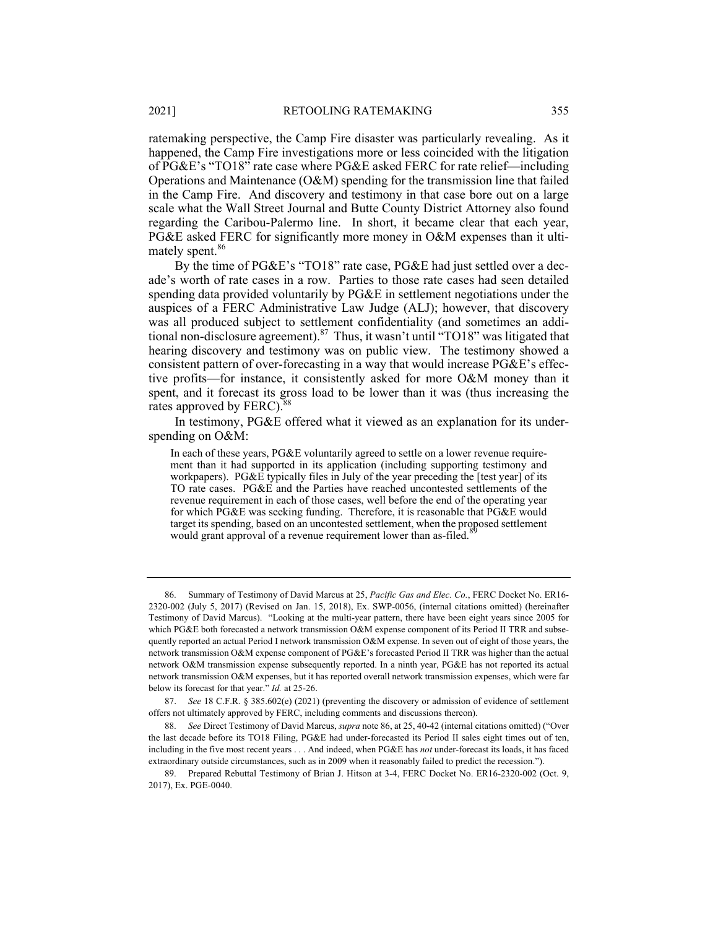ratemaking perspective, the Camp Fire disaster was particularly revealing. As it happened, the Camp Fire investigations more or less coincided with the litigation of PG&E's "TO18" rate case where PG&E asked FERC for rate relief—including Operations and Maintenance (O&M) spending for the transmission line that failed in the Camp Fire. And discovery and testimony in that case bore out on a large scale what the Wall Street Journal and Butte County District Attorney also found regarding the Caribou-Palermo line. In short, it became clear that each year, PG&E asked FERC for significantly more money in O&M expenses than it ultimately spent.<sup>86</sup>

By the time of PG&E's "TO18" rate case, PG&E had just settled over a decade's worth of rate cases in a row. Parties to those rate cases had seen detailed spending data provided voluntarily by PG&E in settlement negotiations under the auspices of a FERC Administrative Law Judge (ALJ); however, that discovery was all produced subject to settlement confidentiality (and sometimes an additional non-disclosure agreement).<sup>87</sup> Thus, it wasn't until "TO18" was litigated that hearing discovery and testimony was on public view. The testimony showed a consistent pattern of over-forecasting in a way that would increase  $PGEE$ 's effective profits—for instance, it consistently asked for more O&M money than it spent, and it forecast its gross load to be lower than it was (thus increasing the rates approved by FERC).<sup>88</sup>

In testimony, PG&E offered what it viewed as an explanation for its underspending on O&M:

In each of these years, PG&E voluntarily agreed to settle on a lower revenue requirement than it had supported in its application (including supporting testimony and workpapers). PG&E typically files in July of the year preceding the [test year] of its TO rate cases. PG&E and the Parties have reached uncontested settlements of the revenue requirement in each of those cases, well before the end of the operating year for which PG&E was seeking funding. Therefore, it is reasonable that PG&E would target its spending, based on an uncontested settlement, when the proposed settlement would grant approval of a revenue requirement lower than as-filed.<sup>8</sup>

 <sup>86.</sup> Summary of Testimony of David Marcus at 25, *Pacific Gas and Elec. Co.*, FERC Docket No. ER16- 2320-002 (July 5, 2017) (Revised on Jan. 15, 2018), Ex. SWP-0056, (internal citations omitted) (hereinafter Testimony of David Marcus). "Looking at the multi-year pattern, there have been eight years since 2005 for which PG&E both forecasted a network transmission O&M expense component of its Period II TRR and subsequently reported an actual Period I network transmission O&M expense. In seven out of eight of those years, the network transmission O&M expense component of PG&E's forecasted Period II TRR was higher than the actual network O&M transmission expense subsequently reported. In a ninth year, PG&E has not reported its actual network transmission O&M expenses, but it has reported overall network transmission expenses, which were far below its forecast for that year." *Id.* at 25-26.

 <sup>87.</sup> *See* 18 C.F.R. § 385.602(e) (2021) (preventing the discovery or admission of evidence of settlement offers not ultimately approved by FERC, including comments and discussions thereon).

 <sup>88.</sup> *See* Direct Testimony of David Marcus, *supra* note 86, at 25, 40-42 (internal citations omitted) ("Over the last decade before its TO18 Filing, PG&E had under-forecasted its Period II sales eight times out of ten, including in the five most recent years . . . And indeed, when PG&E has *not* under-forecast its loads, it has faced extraordinary outside circumstances, such as in 2009 when it reasonably failed to predict the recession.").

 <sup>89.</sup> Prepared Rebuttal Testimony of Brian J. Hitson at 3-4, FERC Docket No. ER16-2320-002 (Oct. 9, 2017), Ex. PGE-0040.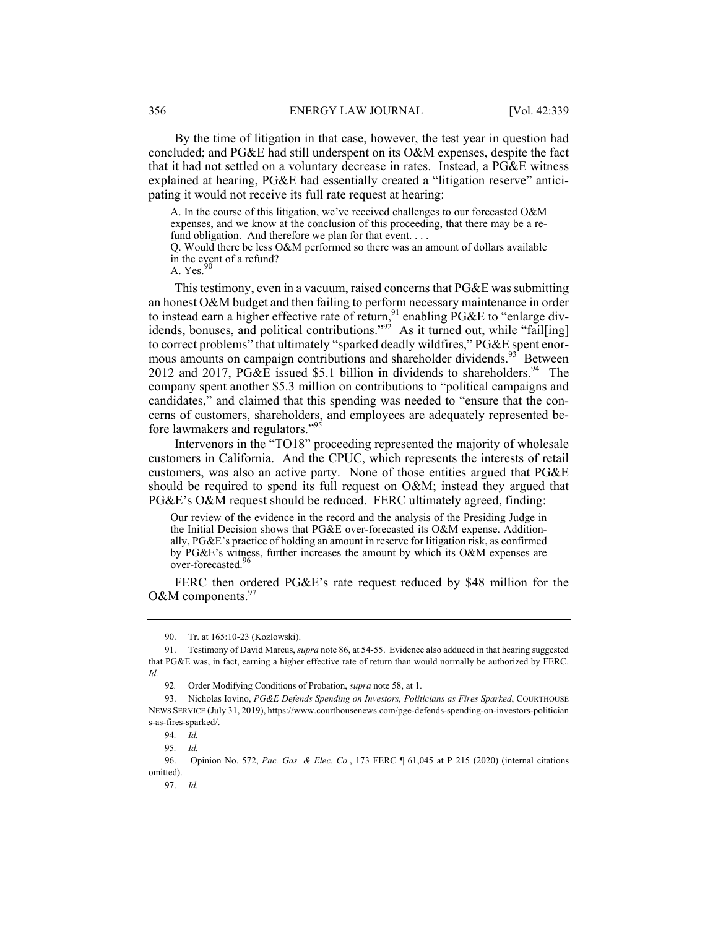By the time of litigation in that case, however, the test year in question had concluded; and PG&E had still underspent on its O&M expenses, despite the fact that it had not settled on a voluntary decrease in rates. Instead, a PG&E witness explained at hearing, PG&E had essentially created a "litigation reserve" anticipating it would not receive its full rate request at hearing:

A. In the course of this litigation, we've received challenges to our forecasted O&M expenses, and we know at the conclusion of this proceeding, that there may be a refund obligation. And therefore we plan for that event....

Q. Would there be less O&M performed so there was an amount of dollars available in the event of a refund?

A. Yes.

This testimony, even in a vacuum, raised concerns that PG&E was submitting an honest O&M budget and then failing to perform necessary maintenance in order to instead earn a higher effective rate of return,  $91$  enabling PG&E to "enlarge dividends, bonuses, and political contributions."<sup>92</sup> As it turned out, while "fail[ing] to correct problems" that ultimately "sparked deadly wildfires," PG&E spent enormous amounts on campaign contributions and shareholder dividends.<sup>93</sup> Between 2012 and 2017, PG&E issued \$5.1 billion in dividends to shareholders.<sup>94</sup> The company spent another \$5.3 million on contributions to "political campaigns and candidates," and claimed that this spending was needed to "ensure that the concerns of customers, shareholders, and employees are adequately represented before lawmakers and regulators."95

Intervenors in the "TO18" proceeding represented the majority of wholesale customers in California. And the CPUC, which represents the interests of retail customers, was also an active party. None of those entities argued that PG&E should be required to spend its full request on O&M; instead they argued that PG&E's O&M request should be reduced. FERC ultimately agreed, finding:

Our review of the evidence in the record and the analysis of the Presiding Judge in the Initial Decision shows that PG&E over-forecasted its O&M expense. Additionally, PG&E's practice of holding an amount in reserve for litigation risk, as confirmed by PG&E's witness, further increases the amount by which its O&M expenses are over-forecasted.<sup>9</sup>

FERC then ordered PG&E's rate request reduced by \$48 million for the O&M components. $97$ 

97. *Id.*

 <sup>90.</sup> Tr. at 165:10-23 (Kozlowski).

 <sup>91.</sup> Testimony of David Marcus, *supra* note 86, at 54-55. Evidence also adduced in that hearing suggested that PG&E was, in fact, earning a higher effective rate of return than would normally be authorized by FERC. *Id.*

<sup>92</sup>*.* Order Modifying Conditions of Probation, *supra* note 58, at 1.

 <sup>93.</sup> Nicholas Iovino, *PG&E Defends Spending on Investors, Politicians as Fires Sparked*, COURTHOUSE NEWS SERVICE (July 31, 2019), https://www.courthousenews.com/pge-defends-spending-on-investors-politician s-as-fires-sparked/.

<sup>94</sup>*. Id.*

<sup>95</sup>*. Id.*

 <sup>96.</sup> Opinion No. 572, *Pac. Gas. & Elec. Co.*, 173 FERC ¶ 61,045 at P 215 (2020) (internal citations omitted).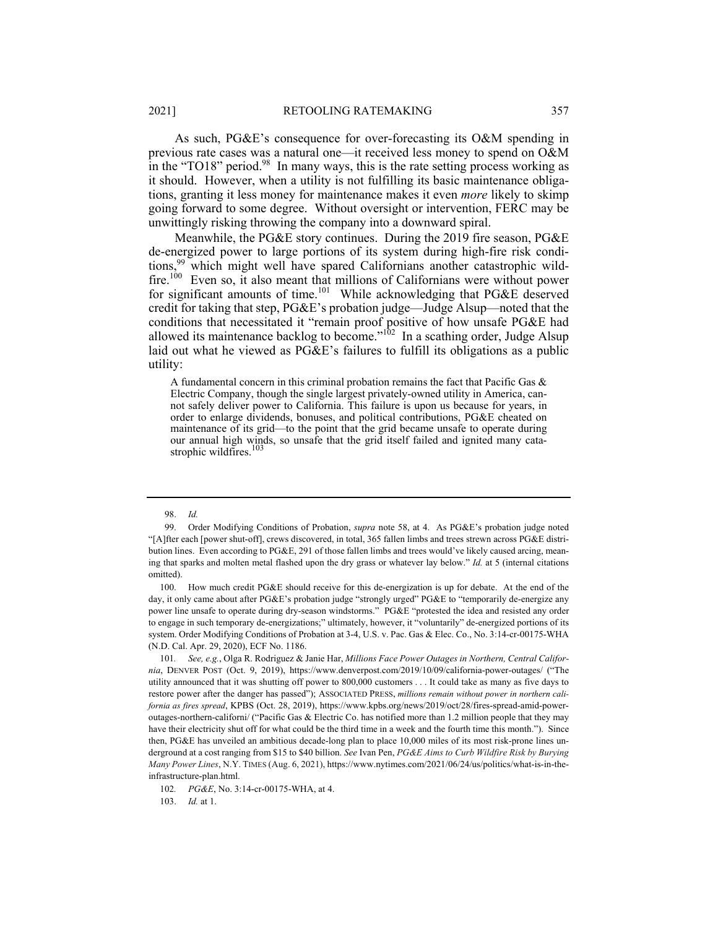As such, PG&E's consequence for over-forecasting its O&M spending in previous rate cases was a natural one—it received less money to spend on O&M in the "TO18" period.<sup>98</sup> In many ways, this is the rate setting process working as it should. However, when a utility is not fulfilling its basic maintenance obligations, granting it less money for maintenance makes it even *more* likely to skimp going forward to some degree. Without oversight or intervention, FERC may be unwittingly risking throwing the company into a downward spiral.

Meanwhile, the PG&E story continues. During the 2019 fire season, PG&E de-energized power to large portions of its system during high-fire risk conditions,99 which might well have spared Californians another catastrophic wildfire.<sup>100</sup> Even so, it also meant that millions of Californians were without power for significant amounts of time.<sup>101</sup> While acknowledging that PG&E deserved credit for taking that step, PG&E's probation judge—Judge Alsup—noted that the conditions that necessitated it "remain proof positive of how unsafe PG&E had allowed its maintenance backlog to become." $10^2$  In a scathing order, Judge Alsup laid out what he viewed as PG&E's failures to fulfill its obligations as a public utility:

A fundamental concern in this criminal probation remains the fact that Pacific Gas & Electric Company, though the single largest privately-owned utility in America, cannot safely deliver power to California. This failure is upon us because for years, in order to enlarge dividends, bonuses, and political contributions, PG&E cheated on maintenance of its grid—to the point that the grid became unsafe to operate during our annual high winds, so unsafe that the grid itself failed and ignited many cata-<br>strophic wildfires.<sup>103</sup>

103. *Id.* at 1.

 <sup>98.</sup> *Id.*

 <sup>99.</sup> Order Modifying Conditions of Probation, *supra* note 58, at 4. As PG&E's probation judge noted "[A]fter each [power shut-off], crews discovered, in total, 365 fallen limbs and trees strewn across PG&E distribution lines. Even according to PG&E, 291 of those fallen limbs and trees would've likely caused arcing, meaning that sparks and molten metal flashed upon the dry grass or whatever lay below." *Id.* at 5 (internal citations omitted).

 <sup>100.</sup> How much credit PG&E should receive for this de-energization is up for debate. At the end of the day, it only came about after PG&E's probation judge "strongly urged" PG&E to "temporarily de-energize any power line unsafe to operate during dry-season windstorms." PG&E "protested the idea and resisted any order to engage in such temporary de-energizations;" ultimately, however, it "voluntarily" de-energized portions of its system. Order Modifying Conditions of Probation at 3-4, U.S. v. Pac. Gas & Elec. Co., No. 3:14-cr-00175-WHA (N.D. Cal. Apr. 29, 2020), ECF No. 1186.

<sup>101</sup>*. See, e.g.*, Olga R. Rodriguez & Janie Har, *Millions Face Power Outages in Northern, Central California*, DENVER POST (Oct. 9, 2019), https://www.denverpost.com/2019/10/09/california-power-outages/ ("The utility announced that it was shutting off power to 800,000 customers . . . It could take as many as five days to restore power after the danger has passed"); ASSOCIATED PRESS, *millions remain without power in northern california as fires spread*, KPBS (Oct. 28, 2019), https://www.kpbs.org/news/2019/oct/28/fires-spread-amid-poweroutages-northern-californi/ ("Pacific Gas & Electric Co. has notified more than 1.2 million people that they may have their electricity shut off for what could be the third time in a week and the fourth time this month."). Since then, PG&E has unveiled an ambitious decade-long plan to place 10,000 miles of its most risk-prone lines underground at a cost ranging from \$15 to \$40 billion. *See* Ivan Pen, *PG&E Aims to Curb Wildfire Risk by Burying Many Power Lines*, N.Y. TIMES (Aug. 6, 2021), https://www.nytimes.com/2021/06/24/us/politics/what-is-in-theinfrastructure-plan.html.

<sup>102</sup>*. PG&E*, No. 3:14-cr-00175-WHA, at 4.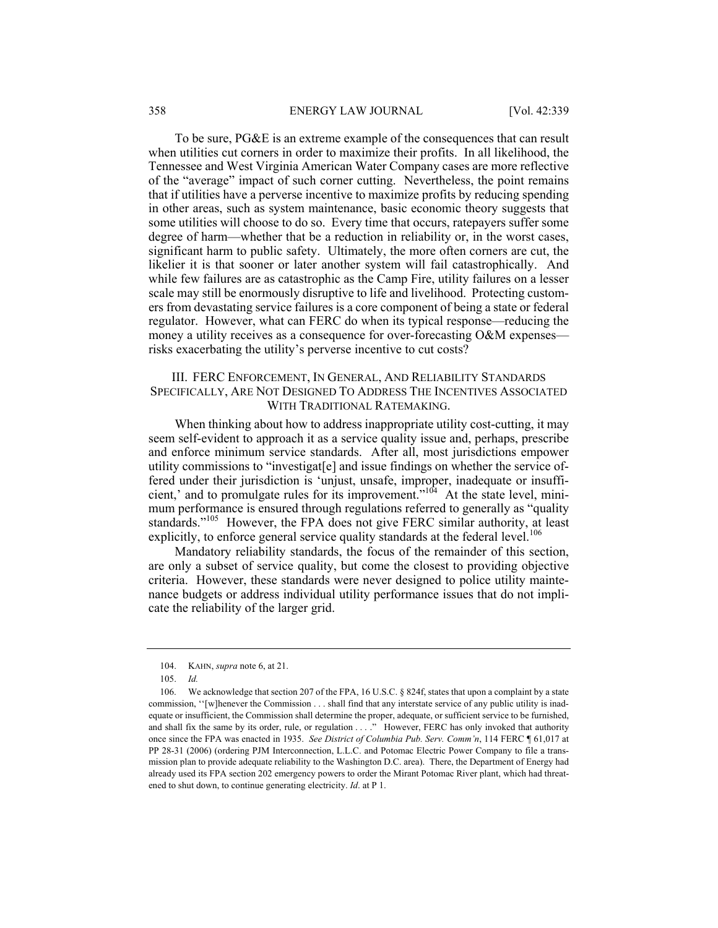To be sure, PG&E is an extreme example of the consequences that can result when utilities cut corners in order to maximize their profits. In all likelihood, the Tennessee and West Virginia American Water Company cases are more reflective of the "average" impact of such corner cutting. Nevertheless, the point remains that if utilities have a perverse incentive to maximize profits by reducing spending in other areas, such as system maintenance, basic economic theory suggests that some utilities will choose to do so. Every time that occurs, ratepayers suffer some degree of harm—whether that be a reduction in reliability or, in the worst cases, significant harm to public safety. Ultimately, the more often corners are cut, the likelier it is that sooner or later another system will fail catastrophically. And while few failures are as catastrophic as the Camp Fire, utility failures on a lesser scale may still be enormously disruptive to life and livelihood. Protecting customers from devastating service failures is a core component of being a state or federal regulator. However, what can FERC do when its typical response—reducing the money a utility receives as a consequence for over-forecasting O&M expenses risks exacerbating the utility's perverse incentive to cut costs?

### III. FERC ENFORCEMENT, IN GENERAL, AND RELIABILITY STANDARDS SPECIFICALLY, ARE NOT DESIGNED TO ADDRESS THE INCENTIVES ASSOCIATED WITH TRADITIONAL RATEMAKING.

When thinking about how to address inappropriate utility cost-cutting, it may seem self-evident to approach it as a service quality issue and, perhaps, prescribe and enforce minimum service standards. After all, most jurisdictions empower utility commissions to "investigat[e] and issue findings on whether the service offered under their jurisdiction is 'unjust, unsafe, improper, inadequate or insufficient,' and to promulgate rules for its improvement."104 At the state level, minimum performance is ensured through regulations referred to generally as "quality standards."105 However, the FPA does not give FERC similar authority, at least explicitly, to enforce general service quality standards at the federal level.<sup>106</sup>

Mandatory reliability standards, the focus of the remainder of this section, are only a subset of service quality, but come the closest to providing objective criteria. However, these standards were never designed to police utility maintenance budgets or address individual utility performance issues that do not implicate the reliability of the larger grid.

 <sup>104.</sup> KAHN, *supra* note 6, at 21.

 <sup>105.</sup> *Id.*

 <sup>106.</sup> We acknowledge that section 207 of the FPA, 16 U.S.C. § 824f, states that upon a complaint by a state commission, ''[w]henever the Commission . . . shall find that any interstate service of any public utility is inadequate or insufficient, the Commission shall determine the proper, adequate, or sufficient service to be furnished, and shall fix the same by its order, rule, or regulation . . . ." However, FERC has only invoked that authority once since the FPA was enacted in 1935. *See District of Columbia Pub. Serv. Comm'n*, 114 FERC ¶ 61,017 at PP 28-31 (2006) (ordering PJM Interconnection, L.L.C. and Potomac Electric Power Company to file a transmission plan to provide adequate reliability to the Washington D.C. area). There, the Department of Energy had already used its FPA section 202 emergency powers to order the Mirant Potomac River plant, which had threatened to shut down, to continue generating electricity. *Id*. at P 1.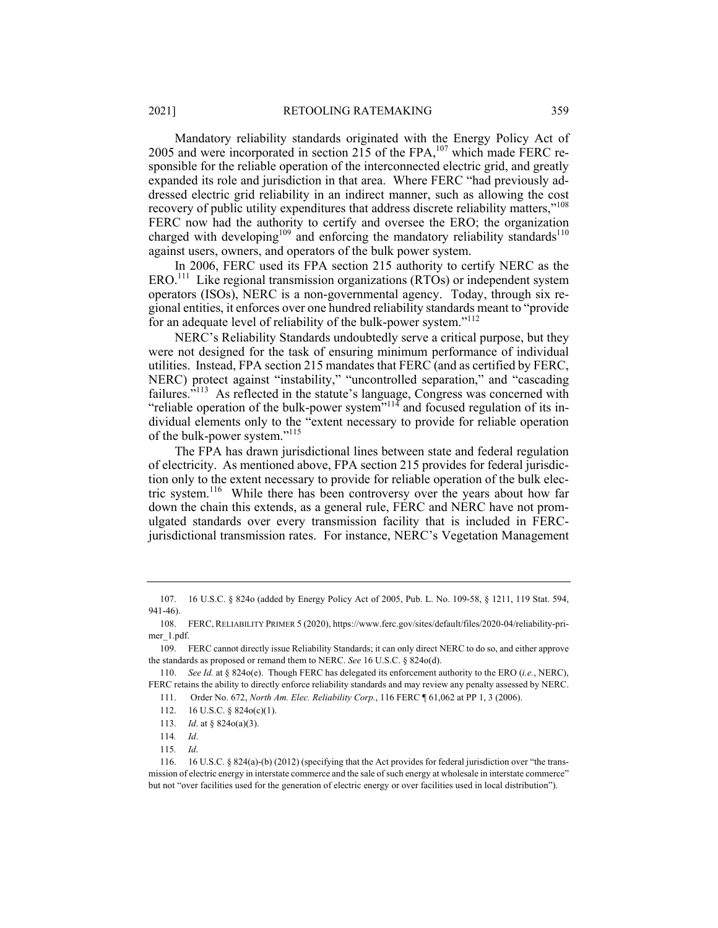Mandatory reliability standards originated with the Energy Policy Act of 2005 and were incorporated in section 215 of the FPA, $^{107}$  which made FERC responsible for the reliable operation of the interconnected electric grid, and greatly expanded its role and jurisdiction in that area. Where FERC "had previously addressed electric grid reliability in an indirect manner, such as allowing the cost recovery of public utility expenditures that address discrete reliability matters,"<sup>108</sup> FERC now had the authority to certify and oversee the ERO; the organization charged with developing<sup>109</sup> and enforcing the mandatory reliability standards<sup>110</sup> against users, owners, and operators of the bulk power system.

In 2006, FERC used its FPA section 215 authority to certify NERC as the ERO.111 Like regional transmission organizations (RTOs) or independent system operators (ISOs), NERC is a non-governmental agency. Today, through six regional entities, it enforces over one hundred reliability standards meant to "provide for an adequate level of reliability of the bulk-power system."<sup>112</sup>

NERC's Reliability Standards undoubtedly serve a critical purpose, but they were not designed for the task of ensuring minimum performance of individual utilities. Instead, FPA section 215 mandates that FERC (and as certified by FERC, NERC) protect against "instability," "uncontrolled separation," and "cascading failures."<sup>113</sup> As reflected in the statute's language, Congress was concerned with "reliable operation of the bulk-power system"<sup>114</sup> and focused regulation of its individual elements only to the "extent necessary to provide for reliable operation of the bulk-power system."<sup>115</sup>

The FPA has drawn jurisdictional lines between state and federal regulation of electricity. As mentioned above, FPA section 215 provides for federal jurisdiction only to the extent necessary to provide for reliable operation of the bulk electric system.<sup>116</sup> While there has been controversy over the years about how far down the chain this extends, as a general rule, FERC and NERC have not promulgated standards over every transmission facility that is included in FERCjurisdictional transmission rates. For instance, NERC's Vegetation Management

 <sup>107. 16</sup> U.S.C. § 824o (added by Energy Policy Act of 2005, Pub. L. No. 109-58, § 1211, 119 Stat. 594, 941-46).

 <sup>108.</sup> FERC,RELIABILITY PRIMER 5 (2020), https://www.ferc.gov/sites/default/files/2020-04/reliability-primer\_1.pdf.

 <sup>109.</sup> FERC cannot directly issue Reliability Standards; it can only direct NERC to do so, and either approve the standards as proposed or remand them to NERC. *See* 16 U.S.C. § 824o(d).

 <sup>110.</sup> *See Id.* at § 824o(e). Though FERC has delegated its enforcement authority to the ERO (*i.e.*, NERC), FERC retains the ability to directly enforce reliability standards and may review any penalty assessed by NERC.

 <sup>111.</sup> Order No. 672, *North Am. Elec. Reliability Corp.*, 116 FERC ¶ 61,062 at PP 1, 3 (2006).

 <sup>112. 16</sup> U.S.C. § 824o(c)(1).

 <sup>113.</sup> *Id*. at § 824o(a)(3).

<sup>114</sup>*. Id*.

<sup>115</sup>*. Id*.

 <sup>116. 16</sup> U.S.C. § 824(a)-(b) (2012) (specifying that the Act provides for federal jurisdiction over "the transmission of electric energy in interstate commerce and the sale of such energy at wholesale in interstate commerce" but not "over facilities used for the generation of electric energy or over facilities used in local distribution").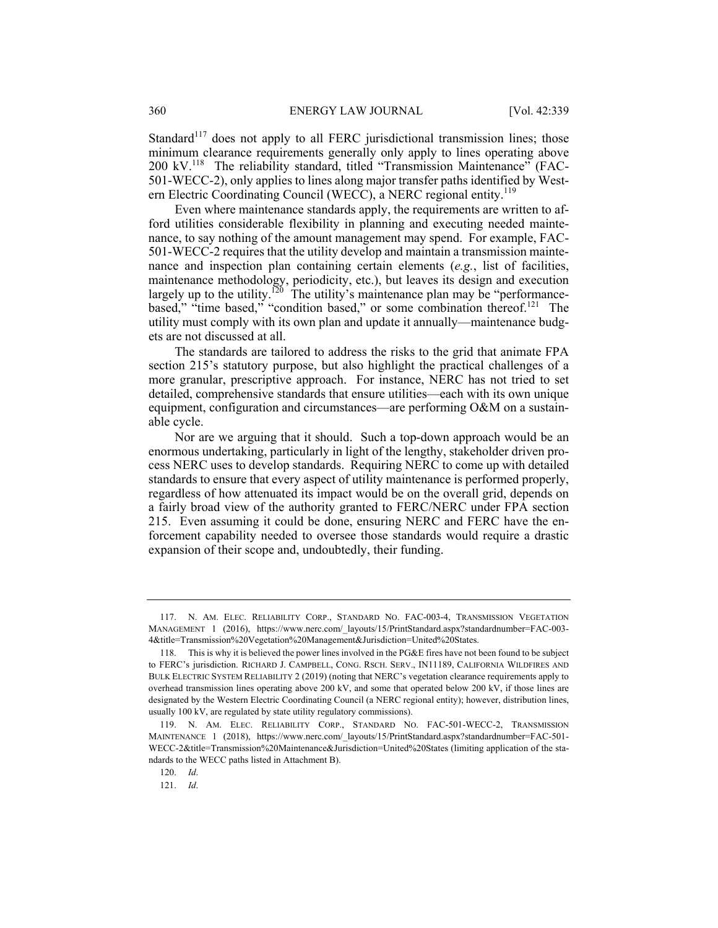Standard<sup>117</sup> does not apply to all FERC jurisdictional transmission lines; those minimum clearance requirements generally only apply to lines operating above 200 kV.118 The reliability standard, titled "Transmission Maintenance" (FAC-501-WECC-2), only applies to lines along major transfer paths identified by Western Electric Coordinating Council (WECC), a NERC regional entity.<sup>119</sup>

Even where maintenance standards apply, the requirements are written to afford utilities considerable flexibility in planning and executing needed maintenance, to say nothing of the amount management may spend. For example, FAC-501-WECC-2 requires that the utility develop and maintain a transmission maintenance and inspection plan containing certain elements (*e.g.*, list of facilities, maintenance methodology, periodicity, etc.), but leaves its design and execution largely up to the utility.<sup>120</sup> The utility's maintenance plan may be "performancebased," "time based," "condition based," or some combination thereof.<sup>121</sup> The utility must comply with its own plan and update it annually—maintenance budgets are not discussed at all.

The standards are tailored to address the risks to the grid that animate FPA section 215's statutory purpose, but also highlight the practical challenges of a more granular, prescriptive approach. For instance, NERC has not tried to set detailed, comprehensive standards that ensure utilities—each with its own unique equipment, configuration and circumstances—are performing O&M on a sustainable cycle.

Nor are we arguing that it should. Such a top-down approach would be an enormous undertaking, particularly in light of the lengthy, stakeholder driven process NERC uses to develop standards. Requiring NERC to come up with detailed standards to ensure that every aspect of utility maintenance is performed properly, regardless of how attenuated its impact would be on the overall grid, depends on a fairly broad view of the authority granted to FERC/NERC under FPA section 215. Even assuming it could be done, ensuring NERC and FERC have the enforcement capability needed to oversee those standards would require a drastic expansion of their scope and, undoubtedly, their funding.

 <sup>117.</sup> N. AM. ELEC. RELIABILITY CORP., STANDARD NO. FAC-003-4, TRANSMISSION VEGETATION MANAGEMENT 1 (2016), https://www.nerc.com/\_layouts/15/PrintStandard.aspx?standardnumber=FAC-003- 4&title=Transmission%20Vegetation%20Management&Jurisdiction=United%20States.

 <sup>118.</sup> This is why it is believed the power lines involved in the PG&E fires have not been found to be subject to FERC's jurisdiction. RICHARD J. CAMPBELL, CONG. RSCH. SERV., IN11189, CALIFORNIA WILDFIRES AND BULK ELECTRIC SYSTEM RELIABILITY 2 (2019) (noting that NERC's vegetation clearance requirements apply to overhead transmission lines operating above 200 kV, and some that operated below 200 kV, if those lines are designated by the Western Electric Coordinating Council (a NERC regional entity); however, distribution lines, usually 100 kV, are regulated by state utility regulatory commissions).

 <sup>119.</sup> N. AM. ELEC. RELIABILITY CORP., STANDARD NO. FAC-501-WECC-2, TRANSMISSION MAINTENANCE 1 (2018), https://www.nerc.com/\_layouts/15/PrintStandard.aspx?standardnumber=FAC-501- WECC-2&title=Transmission%20Maintenance&Jurisdiction=United%20States (limiting application of the standards to the WECC paths listed in Attachment B).

 <sup>120.</sup> *Id*.

 <sup>121.</sup> *Id*.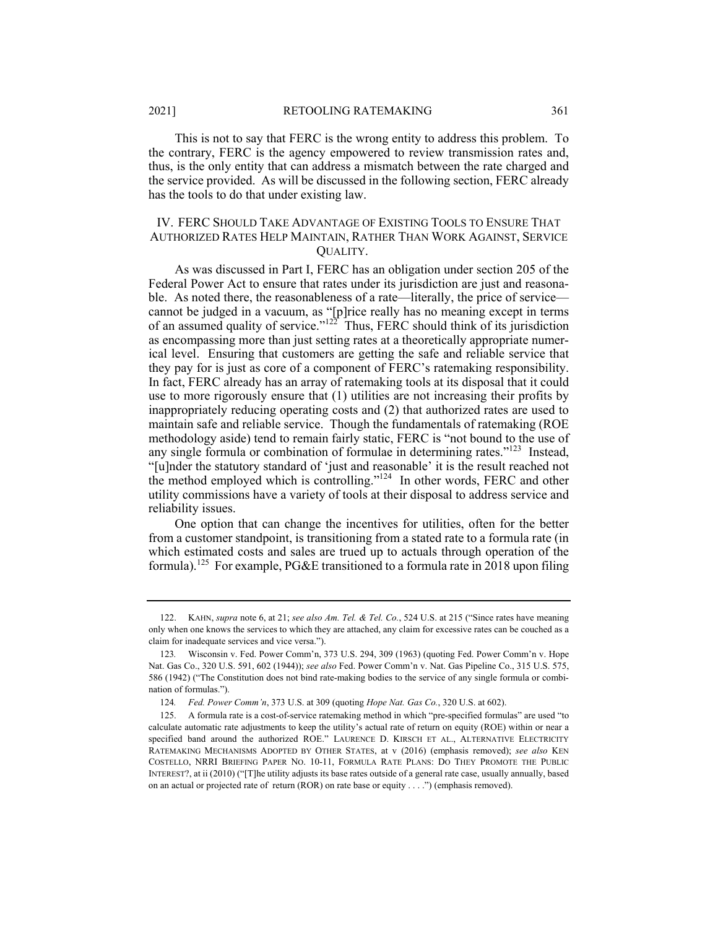This is not to say that FERC is the wrong entity to address this problem. To the contrary, FERC is the agency empowered to review transmission rates and, thus, is the only entity that can address a mismatch between the rate charged and the service provided. As will be discussed in the following section, FERC already has the tools to do that under existing law.

### IV. FERC SHOULD TAKE ADVANTAGE OF EXISTING TOOLS TO ENSURE THAT AUTHORIZED RATES HELP MAINTAIN, RATHER THAN WORK AGAINST, SERVICE QUALITY.

As was discussed in Part I, FERC has an obligation under section 205 of the Federal Power Act to ensure that rates under its jurisdiction are just and reasonable. As noted there, the reasonableness of a rate—literally, the price of service cannot be judged in a vacuum, as "[p]rice really has no meaning except in terms of an assumed quality of service." $122^{\circ}$  Thus, FERC should think of its jurisdiction as encompassing more than just setting rates at a theoretically appropriate numerical level. Ensuring that customers are getting the safe and reliable service that they pay for is just as core of a component of FERC's ratemaking responsibility. In fact, FERC already has an array of ratemaking tools at its disposal that it could use to more rigorously ensure that (1) utilities are not increasing their profits by inappropriately reducing operating costs and (2) that authorized rates are used to maintain safe and reliable service. Though the fundamentals of ratemaking (ROE methodology aside) tend to remain fairly static, FERC is "not bound to the use of any single formula or combination of formulae in determining rates."123 Instead, "[u]nder the statutory standard of 'just and reasonable' it is the result reached not the method employed which is controlling."<sup>124</sup> In other words, FERC and other utility commissions have a variety of tools at their disposal to address service and reliability issues.

One option that can change the incentives for utilities, often for the better from a customer standpoint, is transitioning from a stated rate to a formula rate (in which estimated costs and sales are trued up to actuals through operation of the formula).125 For example, PG&E transitioned to a formula rate in 2018 upon filing

 <sup>122.</sup> KAHN, *supra* note 6, at 21; *see also Am. Tel. & Tel. Co.*, 524 U.S. at 215 ("Since rates have meaning only when one knows the services to which they are attached, any claim for excessive rates can be couched as a claim for inadequate services and vice versa.").

<sup>123</sup>*.* Wisconsin v. Fed. Power Comm'n, 373 U.S. 294, 309 (1963) (quoting Fed. Power Comm'n v. Hope Nat. Gas Co., 320 U.S. 591, 602 (1944)); *see also* Fed. Power Comm'n v. Nat. Gas Pipeline Co., 315 U.S. 575, 586 (1942) ("The Constitution does not bind rate-making bodies to the service of any single formula or combination of formulas.").

<sup>124</sup>*. Fed. Power Comm'n*, 373 U.S. at 309 (quoting *Hope Nat. Gas Co.*, 320 U.S. at 602).

 <sup>125.</sup> A formula rate is a cost-of-service ratemaking method in which "pre-specified formulas" are used "to calculate automatic rate adjustments to keep the utility's actual rate of return on equity (ROE) within or near a specified band around the authorized ROE." LAURENCE D. KIRSCH ET AL., ALTERNATIVE ELECTRICITY RATEMAKING MECHANISMS ADOPTED BY OTHER STATES, at v (2016) (emphasis removed); *see also* KEN COSTELLO, NRRI BRIEFING PAPER NO. 10-11, FORMULA RATE PLANS: DO THEY PROMOTE THE PUBLIC INTEREST?, at ii (2010) ("[T]he utility adjusts its base rates outside of a general rate case, usually annually, based on an actual or projected rate of return (ROR) on rate base or equity . . . .") (emphasis removed).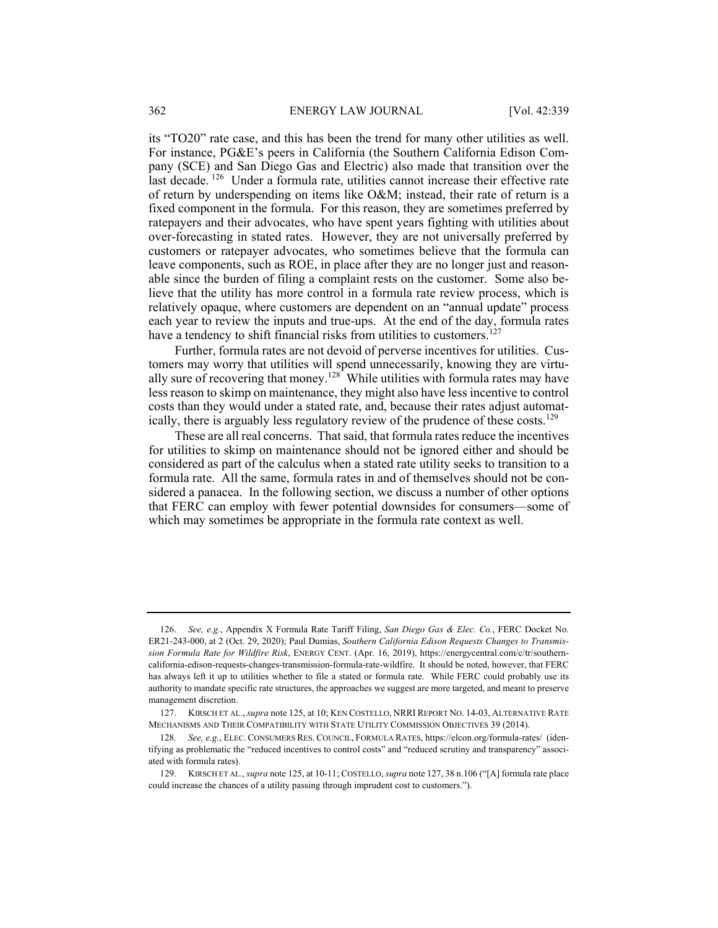its "TO20" rate case, and this has been the trend for many other utilities as well. For instance, PG&E's peers in California (the Southern California Edison Company (SCE) and San Diego Gas and Electric) also made that transition over the last decade. 126 Under a formula rate, utilities cannot increase their effective rate of return by underspending on items like O&M; instead, their rate of return is a fixed component in the formula. For this reason, they are sometimes preferred by ratepayers and their advocates, who have spent years fighting with utilities about over-forecasting in stated rates. However, they are not universally preferred by customers or ratepayer advocates, who sometimes believe that the formula can leave components, such as ROE, in place after they are no longer just and reasonable since the burden of filing a complaint rests on the customer. Some also believe that the utility has more control in a formula rate review process, which is relatively opaque, where customers are dependent on an "annual update" process each year to review the inputs and true-ups. At the end of the day, formula rates have a tendency to shift financial risks from utilities to customers.<sup>127</sup>

Further, formula rates are not devoid of perverse incentives for utilities. Customers may worry that utilities will spend unnecessarily, knowing they are virtually sure of recovering that money.<sup>128</sup> While utilities with formula rates may have less reason to skimp on maintenance, they might also have less incentive to control costs than they would under a stated rate, and, because their rates adjust automatically, there is arguably less regulatory review of the prudence of these costs.<sup>129</sup>

These are all real concerns. That said, that formula rates reduce the incentives for utilities to skimp on maintenance should not be ignored either and should be considered as part of the calculus when a stated rate utility seeks to transition to a formula rate. All the same, formula rates in and of themselves should not be considered a panacea. In the following section, we discuss a number of other options that FERC can employ with fewer potential downsides for consumers—some of which may sometimes be appropriate in the formula rate context as well.

 <sup>126.</sup> *See, e.g.*, Appendix X Formula Rate Tariff Filing, *San Diego Gas & Elec. Co.*, FERC Docket No. ER21-243-000, at 2 (Oct. 29, 2020); Paul Dumias, *Southern California Edison Requests Changes to Transmission Formula Rate for Wildfire Risk*, ENERGY CENT. (Apr. 16, 2019), https://energycentral.com/c/tr/southerncalifornia-edison-requests-changes-transmission-formula-rate-wildfire. It should be noted, however, that FERC has always left it up to utilities whether to file a stated or formula rate. While FERC could probably use its authority to mandate specific rate structures, the approaches we suggest are more targeted, and meant to preserve management discretion.

 <sup>127.</sup> KIRSCH ET AL., *supra* note 125, at 10; KEN COSTELLO, NRRI REPORT NO. 14-03, ALTERNATIVE RATE MECHANISMS AND THEIR COMPATIBILITY WITH STATE UTILITY COMMISSION OBJECTIVES 39 (2014).

<sup>128</sup>*. See, e.g.*, ELEC. CONSUMERS RES. COUNCIL, FORMULA RATES, https://elcon.org/formula-rates/ (identifying as problematic the "reduced incentives to control costs" and "reduced scrutiny and transparency" associated with formula rates).

 <sup>129.</sup> KIRSCH ET AL., *supra* note 125, at 10-11; COSTELLO, *supra* note 127, 38 n.106 ("[A] formula rate place could increase the chances of a utility passing through imprudent cost to customers.").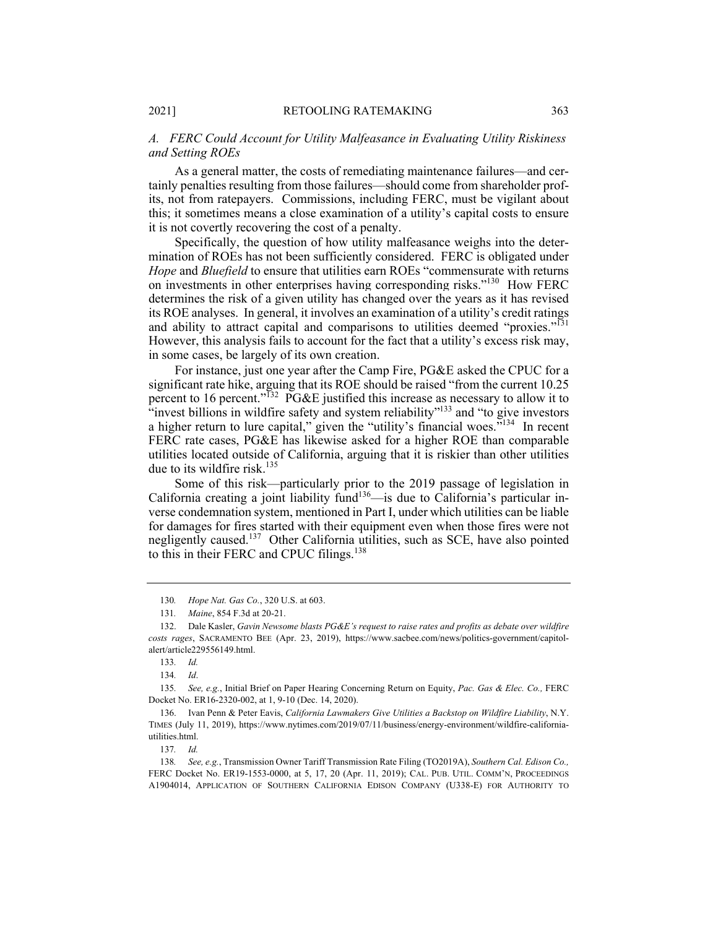# *A. FERC Could Account for Utility Malfeasance in Evaluating Utility Riskiness and Setting ROEs*

As a general matter, the costs of remediating maintenance failures—and certainly penalties resulting from those failures—should come from shareholder profits, not from ratepayers. Commissions, including FERC, must be vigilant about this; it sometimes means a close examination of a utility's capital costs to ensure it is not covertly recovering the cost of a penalty.

Specifically, the question of how utility malfeasance weighs into the determination of ROEs has not been sufficiently considered. FERC is obligated under *Hope* and *Bluefield* to ensure that utilities earn ROEs "commensurate with returns on investments in other enterprises having corresponding risks."130 How FERC determines the risk of a given utility has changed over the years as it has revised its ROE analyses. In general, it involves an examination of a utility's credit ratings and ability to attract capital and comparisons to utilities deemed "proxies."<sup>131</sup> However, this analysis fails to account for the fact that a utility's excess risk may, in some cases, be largely of its own creation.

For instance, just one year after the Camp Fire, PG&E asked the CPUC for a significant rate hike, arguing that its ROE should be raised "from the current 10.25 percent to 16 percent."<sup>132</sup> PG&E justified this increase as necessary to allow it to "invest billions in wildfire safety and system reliability"<sup>133</sup> and "to give investors" a higher return to lure capital," given the "utility's financial woes."<sup>134</sup> In recent FERC rate cases, PG&E has likewise asked for a higher ROE than comparable utilities located outside of California, arguing that it is riskier than other utilities due to its wildfire risk.<sup>135</sup>

Some of this risk—particularly prior to the 2019 passage of legislation in California creating a joint liability fund<sup>136</sup>—is due to California's particular inverse condemnation system, mentioned in Part I, under which utilities can be liable for damages for fires started with their equipment even when those fires were not negligently caused.<sup>137</sup> Other California utilities, such as SCE, have also pointed to this in their FERC and CPUC filings.<sup>138</sup>

135*. See, e.g.*, Initial Brief on Paper Hearing Concerning Return on Equity, *Pac. Gas & Elec. Co.,* FERC Docket No. ER16-2320-002, at 1, 9-10 (Dec. 14, 2020).

<sup>130</sup>*. Hope Nat. Gas Co.*, 320 U.S. at 603.

<sup>131</sup>*. Maine*, 854 F.3d at 20-21.

 <sup>132.</sup> Dale Kasler, *Gavin Newsome blasts PG&E's request to raise rates and profits as debate over wildfire costs rages*, SACRAMENTO BEE (Apr. 23, 2019), https://www.sacbee.com/news/politics-government/capitolalert/article229556149.html.

<sup>133</sup>*. Id.*

<sup>134</sup>*. Id*.

 <sup>136.</sup> Ivan Penn & Peter Eavis, *California Lawmakers Give Utilities a Backstop on Wildfire Liability*, N.Y. TIMES (July 11, 2019), https://www.nytimes.com/2019/07/11/business/energy-environment/wildfire-californiautilities.html.

<sup>137</sup>*. Id.*

<sup>138</sup>*. See, e.g.*, Transmission Owner Tariff Transmission Rate Filing (TO2019A), *Southern Cal. Edison Co.,*  FERC Docket No. ER19-1553-0000, at 5, 17, 20 (Apr. 11, 2019); CAL. PUB. UTIL. COMM'N, PROCEEDINGS A1904014, APPLICATION OF SOUTHERN CALIFORNIA EDISON COMPANY (U338-E) FOR AUTHORITY TO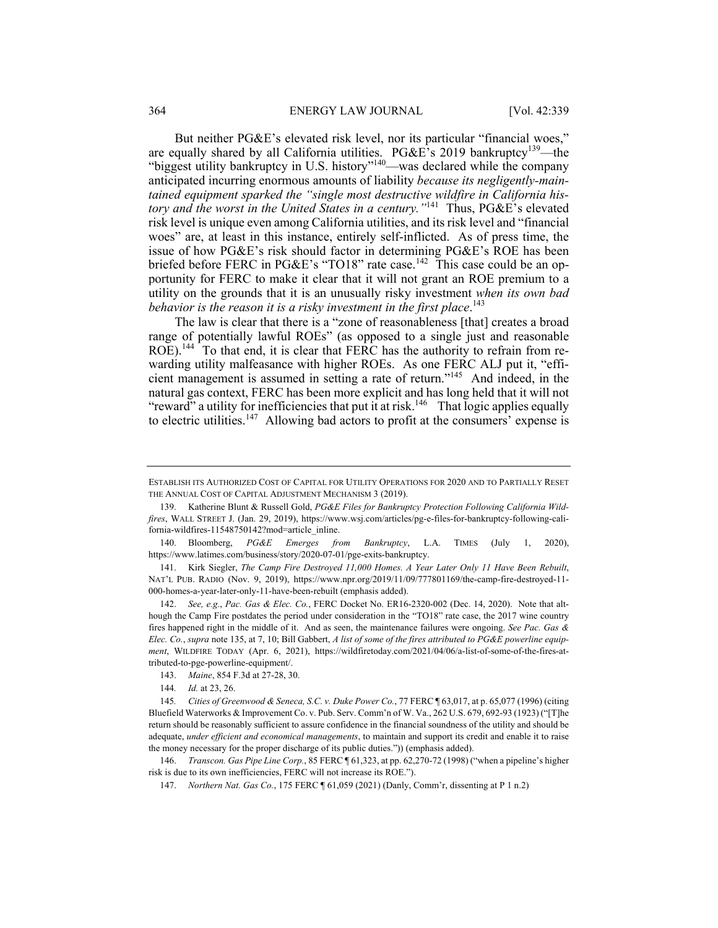But neither PG&E's elevated risk level, nor its particular "financial woes," are equally shared by all California utilities. PG&E's 2019 bankruptcy<sup>139</sup>—the "biggest utility bankruptcy in U.S. history"<sup>140</sup>—was declared while the company anticipated incurring enormous amounts of liability *because its negligently-maintained equipment sparked the "single most destructive wildfire in California history and the worst in the United States in a century."*141 Thus, PG&E's elevated risk level is unique even among California utilities, and its risk level and "financial woes" are, at least in this instance, entirely self-inflicted. As of press time, the issue of how PG&E's risk should factor in determining PG&E's ROE has been briefed before FERC in PG&E's "TO18" rate case.<sup>142</sup> This case could be an opportunity for FERC to make it clear that it will not grant an ROE premium to a utility on the grounds that it is an unusually risky investment *when its own bad*  behavior is the reason it is a risky investment in the first place.<sup>143</sup>

The law is clear that there is a "zone of reasonableness [that] creates a broad range of potentially lawful ROEs" (as opposed to a single just and reasonable ROE).<sup>144</sup> To that end, it is clear that FERC has the authority to refrain from rewarding utility malfeasance with higher ROEs. As one FERC ALJ put it, "efficient management is assumed in setting a rate of return."<sup>145</sup> And indeed, in the natural gas context, FERC has been more explicit and has long held that it will not "reward" a utility for inefficiencies that put it at risk.<sup>146</sup> That logic applies equally to electric utilities.<sup>147</sup> Allowing bad actors to profit at the consumers' expense is

ESTABLISH ITS AUTHORIZED COST OF CAPITAL FOR UTILITY OPERATIONS FOR 2020 AND TO PARTIALLY RESET THE ANNUAL COST OF CAPITAL ADJUSTMENT MECHANISM 3 (2019).

 <sup>139.</sup> Katherine Blunt & Russell Gold, *PG&E Files for Bankruptcy Protection Following California Wildfires*, WALL STREET J. (Jan. 29, 2019), https://www.wsj.com/articles/pg-e-files-for-bankruptcy-following-california-wildfires-11548750142?mod=article\_inline.

 <sup>140.</sup> Bloomberg, *PG&E Emerges from Bankruptcy*, L.A. TIMES (July 1, 2020), https://www.latimes.com/business/story/2020-07-01/pge-exits-bankruptcy.

 <sup>141.</sup> Kirk Siegler, *The Camp Fire Destroyed 11,000 Homes. A Year Later Only 11 Have Been Rebuilt*, NAT'L PUB. RADIO (Nov. 9, 2019), https://www.npr.org/2019/11/09/777801169/the-camp-fire-destroyed-11- 000-homes-a-year-later-only-11-have-been-rebuilt (emphasis added).

 <sup>142.</sup> *See, e.g.*, *Pac. Gas & Elec. Co.*, FERC Docket No. ER16-2320-002 (Dec. 14, 2020). Note that although the Camp Fire postdates the period under consideration in the "TO18" rate case, the 2017 wine country fires happened right in the middle of it. And as seen, the maintenance failures were ongoing. *See Pac. Gas & Elec. Co.*, *supra* note 135, at 7, 10; Bill Gabbert, *A list of some of the fires attributed to PG&E powerline equipment*, WILDFIRE TODAY (Apr. 6, 2021), https://wildfiretoday.com/2021/04/06/a-list-of-some-of-the-fires-attributed-to-pge-powerline-equipment/.

 <sup>143.</sup> *Maine*, 854 F.3d at 27-28, 30.

<sup>144</sup>*. Id.* at 23, 26.

<sup>145</sup>*. Cities of Greenwood & Seneca, S.C. v. Duke Power Co.*, 77 FERC ¶ 63,017, at p. 65,077 (1996) (citing Bluefield Waterworks & Improvement Co. v. Pub. Serv. Comm'n of W. Va., 262 U.S. 679, 692-93 (1923) ("[T]he return should be reasonably sufficient to assure confidence in the financial soundness of the utility and should be adequate, *under efficient and economical managements*, to maintain and support its credit and enable it to raise the money necessary for the proper discharge of its public duties.")) (emphasis added).

 <sup>146.</sup> *Transcon. Gas Pipe Line Corp.*, 85 FERC ¶ 61,323, at pp. 62,270-72 (1998) ("when a pipeline's higher risk is due to its own inefficiencies, FERC will not increase its ROE.").

 <sup>147.</sup> *Northern Nat. Gas Co.*, 175 FERC ¶ 61,059 (2021) (Danly, Comm'r, dissenting at P 1 n.2)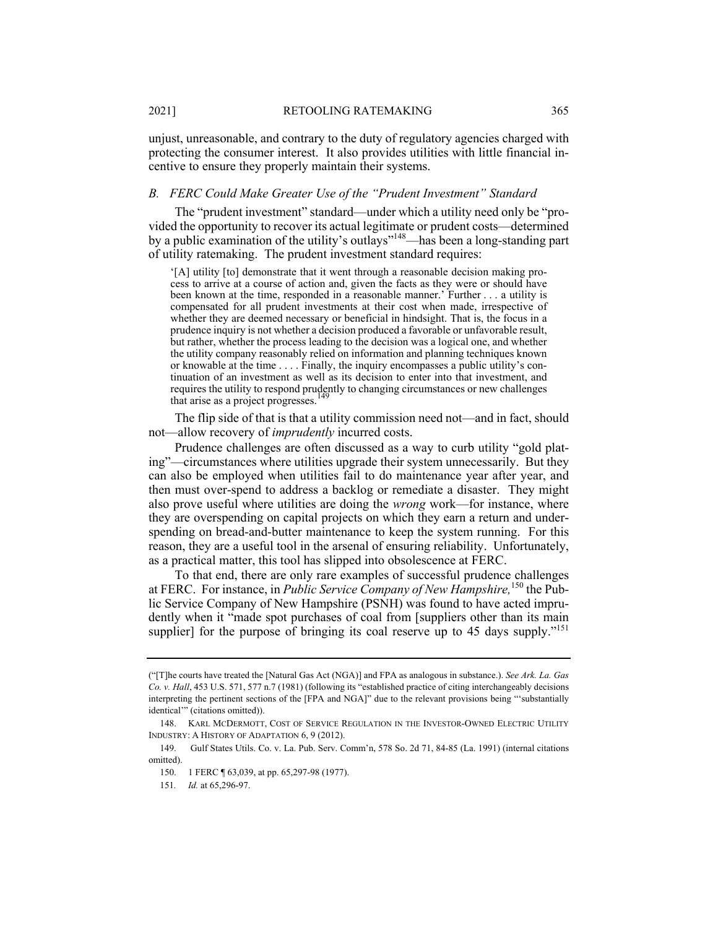unjust, unreasonable, and contrary to the duty of regulatory agencies charged with protecting the consumer interest. It also provides utilities with little financial incentive to ensure they properly maintain their systems.

## *B. FERC Could Make Greater Use of the "Prudent Investment" Standard*

The "prudent investment" standard—under which a utility need only be "provided the opportunity to recover its actual legitimate or prudent costs—determined by a public examination of the utility's outlays"148—has been a long-standing part of utility ratemaking. The prudent investment standard requires:

'[A] utility [to] demonstrate that it went through a reasonable decision making process to arrive at a course of action and, given the facts as they were or should have been known at the time, responded in a reasonable manner.' Further . . . a utility is compensated for all prudent investments at their cost when made, irrespective of whether they are deemed necessary or beneficial in hindsight. That is, the focus in a prudence inquiry is not whether a decision produced a favorable or unfavorable result, but rather, whether the process leading to the decision was a logical one, and whether the utility company reasonably relied on information and planning techniques known or knowable at the time . . . . Finally, the inquiry encompasses a public utility's continuation of an investment as well as its decision to enter into that investment, and requires the utility to respond prudently to changing circumstances or new challenges that arise as a project progresses.

The flip side of that is that a utility commission need not—and in fact, should not—allow recovery of *imprudently* incurred costs.

Prudence challenges are often discussed as a way to curb utility "gold plating"—circumstances where utilities upgrade their system unnecessarily. But they can also be employed when utilities fail to do maintenance year after year, and then must over-spend to address a backlog or remediate a disaster. They might also prove useful where utilities are doing the *wrong* work—for instance, where they are overspending on capital projects on which they earn a return and underspending on bread-and-butter maintenance to keep the system running. For this reason, they are a useful tool in the arsenal of ensuring reliability. Unfortunately, as a practical matter, this tool has slipped into obsolescence at FERC.

To that end, there are only rare examples of successful prudence challenges at FERC. For instance, in *Public Service Company of New Hampshire,*<sup>150</sup> the Public Service Company of New Hampshire (PSNH) was found to have acted imprudently when it "made spot purchases of coal from [suppliers other than its main supplier] for the purpose of bringing its coal reserve up to 45 days supply."<sup>151</sup>

<sup>(&</sup>quot;[T]he courts have treated the [Natural Gas Act (NGA)] and FPA as analogous in substance.). *See Ark. La. Gas Co. v. Hall*, 453 U.S. 571, 577 n.7 (1981) (following its "established practice of citing interchangeably decisions interpreting the pertinent sections of the [FPA and NGA]" due to the relevant provisions being "'substantially identical'" (citations omitted)).

 <sup>148.</sup> KARL MCDERMOTT, COST OF SERVICE REGULATION IN THE INVESTOR-OWNED ELECTRIC UTILITY INDUSTRY: A HISTORY OF ADAPTATION 6, 9 (2012).

 <sup>149.</sup> Gulf States Utils. Co. v. La. Pub. Serv. Comm'n, 578 So. 2d 71, 84-85 (La. 1991) (internal citations omitted).

 <sup>150. 1</sup> FERC ¶ 63,039, at pp. 65,297-98 (1977).

<sup>151</sup>*. Id.* at 65,296-97.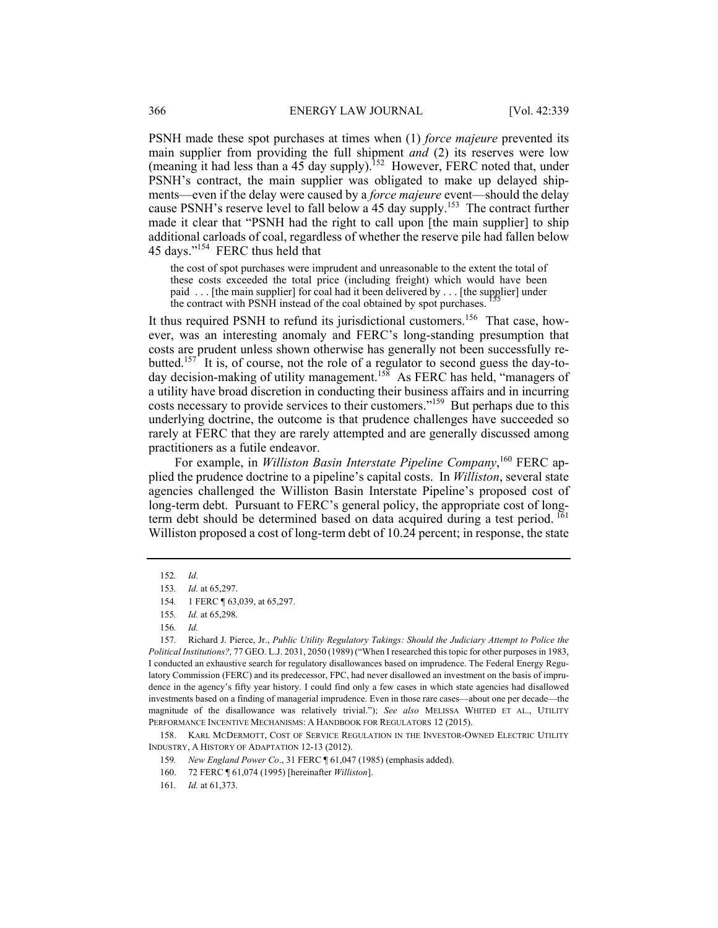PSNH made these spot purchases at times when (1) *force majeure* prevented its main supplier from providing the full shipment *and* (2) its reserves were low (meaning it had less than a  $45$  day supply).<sup>152</sup> However, FERC noted that, under PSNH's contract, the main supplier was obligated to make up delayed shipments—even if the delay were caused by a *force majeure* event—should the delay cause PSNH's reserve level to fall below a 45 day supply.<sup>153</sup> The contract further made it clear that "PSNH had the right to call upon [the main supplier] to ship additional carloads of coal, regardless of whether the reserve pile had fallen below 45 days."154 FERC thus held that

the cost of spot purchases were imprudent and unreasonable to the extent the total of these costs exceeded the total price (including freight) which would have been paid . . . [the main supplier] for coal had it been delivered by . . . [the supplier] under the contract with PSNH instead of the coal obtained by spot purchases.

It thus required PSNH to refund its jurisdictional customers.<sup>156</sup> That case, however, was an interesting anomaly and FERC's long-standing presumption that costs are prudent unless shown otherwise has generally not been successfully rebutted.<sup>157</sup> It is, of course, not the role of a regulator to second guess the day-today decision-making of utility management.<sup>158</sup> As FERC has held, "managers of a utility have broad discretion in conducting their business affairs and in incurring costs necessary to provide services to their customers."159 But perhaps due to this underlying doctrine, the outcome is that prudence challenges have succeeded so rarely at FERC that they are rarely attempted and are generally discussed among practitioners as a futile endeavor.

For example, in *Williston Basin Interstate Pipeline Company*,<sup>160</sup> FERC applied the prudence doctrine to a pipeline's capital costs. In *Williston*, several state agencies challenged the Williston Basin Interstate Pipeline's proposed cost of long-term debt. Pursuant to FERC's general policy, the appropriate cost of longterm debt should be determined based on data acquired during a test period. <sup>161</sup> Williston proposed a cost of long-term debt of 10.24 percent; in response, the state

 158. KARL MCDERMOTT, COST OF SERVICE REGULATION IN THE INVESTOR-OWNED ELECTRIC UTILITY INDUSTRY, A HISTORY OF ADAPTATION 12-13 (2012).

- 159*. New England Power Co*., 31 FERC ¶ 61,047 (1985) (emphasis added).
- 160. 72 FERC ¶ 61,074 (1995) [hereinafter *Williston*].

<sup>152</sup>*. Id.*

<sup>153</sup>*. Id.* at 65,297.

<sup>154</sup>*.* 1 FERC ¶ 63,039, at 65,297.

<sup>155</sup>*. Id.* at 65,298.

<sup>156</sup>*. Id.* 

<sup>157</sup>*.* Richard J. Pierce, Jr., *Public Utility Regulatory Takings: Should the Judiciary Attempt to Police the Political Institutions?,* 77 GEO. L.J. 2031, 2050 (1989) ("When I researched this topic for other purposes in 1983, I conducted an exhaustive search for regulatory disallowances based on imprudence. The Federal Energy Regulatory Commission (FERC) and its predecessor, FPC, had never disallowed an investment on the basis of imprudence in the agency's fifty year history. I could find only a few cases in which state agencies had disallowed investments based on a finding of managerial imprudence. Even in those rare cases—about one per decade—the magnitude of the disallowance was relatively trivial."); *See also* MELISSA WHITED ET AL., UTILITY PERFORMANCE INCENTIVE MECHANISMS: A HANDBOOK FOR REGULATORS 12 (2015).

<sup>161</sup>*. Id.* at 61,373.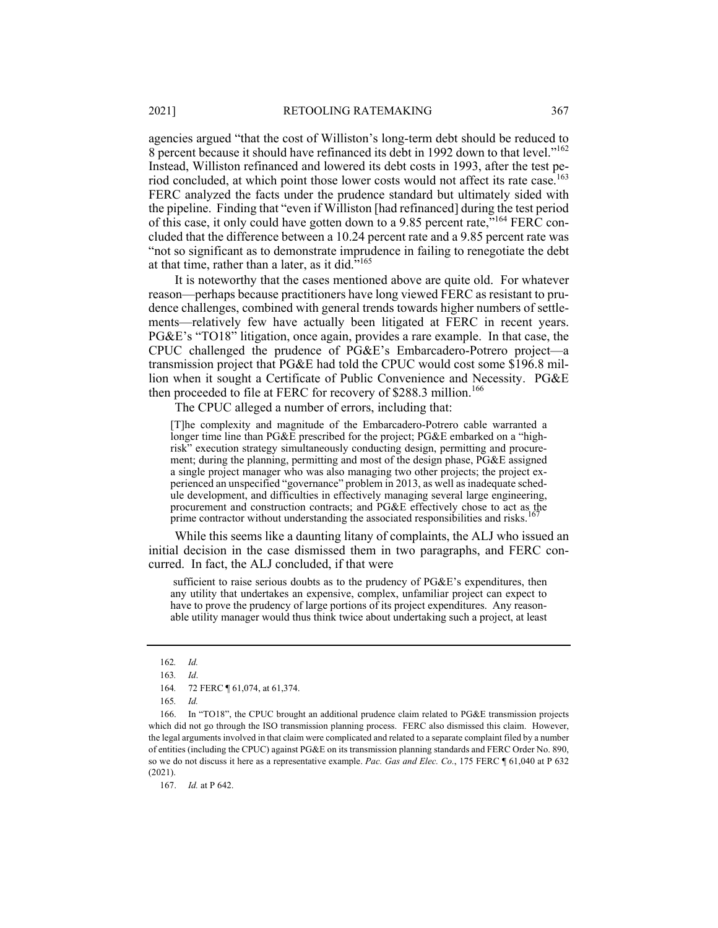agencies argued "that the cost of Williston's long-term debt should be reduced to 8 percent because it should have refinanced its debt in 1992 down to that level."<sup>162</sup> Instead, Williston refinanced and lowered its debt costs in 1993, after the test period concluded, at which point those lower costs would not affect its rate case.<sup>163</sup> FERC analyzed the facts under the prudence standard but ultimately sided with the pipeline. Finding that "even if Williston [had refinanced] during the test period of this case, it only could have gotten down to a 9.85 percent rate,<sup>5164</sup> FERC concluded that the difference between a 10.24 percent rate and a 9.85 percent rate was "not so significant as to demonstrate imprudence in failing to renegotiate the debt at that time, rather than a later, as it did. $i^{165}$ 

It is noteworthy that the cases mentioned above are quite old. For whatever reason—perhaps because practitioners have long viewed FERC as resistant to prudence challenges, combined with general trends towards higher numbers of settlements—relatively few have actually been litigated at FERC in recent years. PG&E's "TO18" litigation, once again, provides a rare example. In that case, the CPUC challenged the prudence of PG&E's Embarcadero-Potrero project—a transmission project that PG&E had told the CPUC would cost some \$196.8 million when it sought a Certificate of Public Convenience and Necessity. PG&E then proceeded to file at FERC for recovery of \$288.3 million.<sup>166</sup>

The CPUC alleged a number of errors, including that:

[T]he complexity and magnitude of the Embarcadero-Potrero cable warranted a longer time line than PG&E prescribed for the project; PG&E embarked on a "highrisk" execution strategy simultaneously conducting design, permitting and procurement; during the planning, permitting and most of the design phase, PG&E assigned a single project manager who was also managing two other projects; the project experienced an unspecified "governance" problem in 2013, as well as inadequate schedule development, and difficulties in effectively managing several large engineering, procurement and construction contracts; and PG&E effectively chose to act as the prime contractor without understanding the associated responsibilities and risks.

While this seems like a daunting litany of complaints, the ALJ who issued an initial decision in the case dismissed them in two paragraphs, and FERC concurred. In fact, the ALJ concluded, if that were

 sufficient to raise serious doubts as to the prudency of PG&E's expenditures, then any utility that undertakes an expensive, complex, unfamiliar project can expect to have to prove the prudency of large portions of its project expenditures. Any reasonable utility manager would thus think twice about undertaking such a project, at least

167. *Id.* at P 642.

<sup>162</sup>*. Id.*

<sup>163</sup>*. Id*.

<sup>164</sup>*.* 72 FERC ¶ 61,074, at 61,374.

<sup>165</sup>*. Id.*

 <sup>166.</sup> In "TO18", the CPUC brought an additional prudence claim related to PG&E transmission projects which did not go through the ISO transmission planning process. FERC also dismissed this claim. However, the legal arguments involved in that claim were complicated and related to a separate complaint filed by a number of entities (including the CPUC) against PG&E on its transmission planning standards and FERC Order No. 890, so we do not discuss it here as a representative example. *Pac. Gas and Elec. Co.*, 175 FERC ¶ 61,040 at P 632 (2021).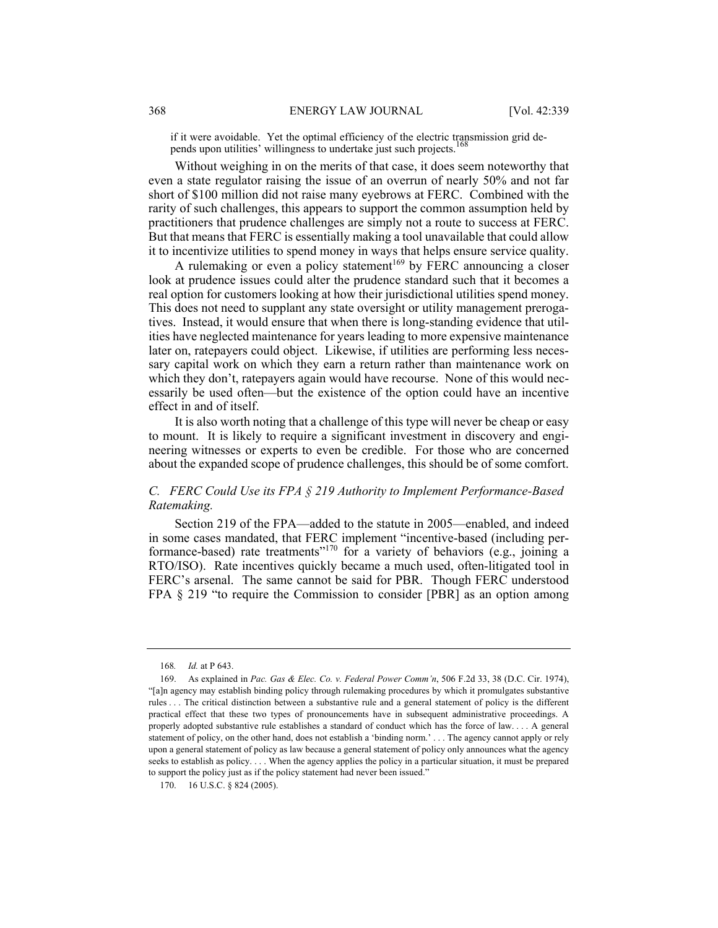if it were avoidable. Yet the optimal efficiency of the electric transmission grid depends upon utilities' willingness to undertake just such projects.

Without weighing in on the merits of that case, it does seem noteworthy that even a state regulator raising the issue of an overrun of nearly 50% and not far short of \$100 million did not raise many eyebrows at FERC. Combined with the rarity of such challenges, this appears to support the common assumption held by practitioners that prudence challenges are simply not a route to success at FERC. But that means that FERC is essentially making a tool unavailable that could allow it to incentivize utilities to spend money in ways that helps ensure service quality.

A rulemaking or even a policy statement<sup>169</sup> by FERC announcing a closer look at prudence issues could alter the prudence standard such that it becomes a real option for customers looking at how their jurisdictional utilities spend money. This does not need to supplant any state oversight or utility management prerogatives. Instead, it would ensure that when there is long-standing evidence that utilities have neglected maintenance for years leading to more expensive maintenance later on, ratepayers could object. Likewise, if utilities are performing less necessary capital work on which they earn a return rather than maintenance work on which they don't, ratepayers again would have recourse. None of this would necessarily be used often—but the existence of the option could have an incentive effect in and of itself.

It is also worth noting that a challenge of this type will never be cheap or easy to mount. It is likely to require a significant investment in discovery and engineering witnesses or experts to even be credible. For those who are concerned about the expanded scope of prudence challenges, this should be of some comfort.

# *C. FERC Could Use its FPA § 219 Authority to Implement Performance-Based Ratemaking.*

Section 219 of the FPA—added to the statute in 2005—enabled, and indeed in some cases mandated, that FERC implement "incentive-based (including performance-based) rate treatments"<sup>170</sup> for a variety of behaviors (e.g., joining a RTO/ISO). Rate incentives quickly became a much used, often-litigated tool in FERC's arsenal. The same cannot be said for PBR. Though FERC understood FPA § 219 "to require the Commission to consider [PBR] as an option among

170. 16 U.S.C. § 824 (2005).

<sup>168</sup>*. Id.* at P 643.

 <sup>169.</sup> As explained in *Pac. Gas & Elec. Co. v. Federal Power Comm'n*, 506 F.2d 33, 38 (D.C. Cir. 1974), "[a]n agency may establish binding policy through rulemaking procedures by which it promulgates substantive rules . . . The critical distinction between a substantive rule and a general statement of policy is the different practical effect that these two types of pronouncements have in subsequent administrative proceedings. A properly adopted substantive rule establishes a standard of conduct which has the force of law. . . . A general statement of policy, on the other hand, does not establish a 'binding norm.' . . . The agency cannot apply or rely upon a general statement of policy as law because a general statement of policy only announces what the agency seeks to establish as policy. . . . When the agency applies the policy in a particular situation, it must be prepared to support the policy just as if the policy statement had never been issued."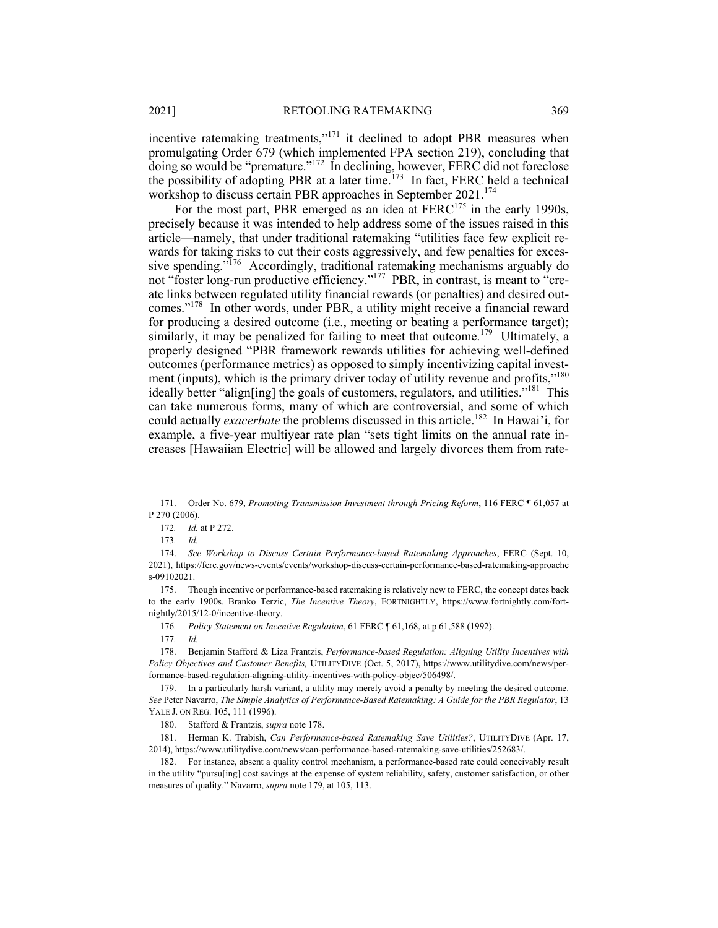incentive ratemaking treatments,"<sup>171</sup> it declined to adopt PBR measures when promulgating Order 679 (which implemented FPA section 219), concluding that doing so would be "premature."<sup>172</sup> In declining, however, FERC did not foreclose the possibility of adopting PBR at a later time.<sup>173</sup> In fact, FERC held a technical workshop to discuss certain PBR approaches in September 2021.<sup>174</sup>

For the most part, PBR emerged as an idea at  $FERC<sup>175</sup>$  in the early 1990s, precisely because it was intended to help address some of the issues raised in this article—namely, that under traditional ratemaking "utilities face few explicit rewards for taking risks to cut their costs aggressively, and few penalties for excessive spending."<sup>176</sup> Accordingly, traditional ratemaking mechanisms arguably do not "foster long-run productive efficiency."177 PBR, in contrast, is meant to "create links between regulated utility financial rewards (or penalties) and desired outcomes."<sup>178</sup> In other words, under PBR, a utility might receive a financial reward for producing a desired outcome (i.e., meeting or beating a performance target); similarly, it may be penalized for failing to meet that outcome.<sup>179</sup> Ultimately, a properly designed "PBR framework rewards utilities for achieving well-defined outcomes (performance metrics) as opposed to simply incentivizing capital investment (inputs), which is the primary driver today of utility revenue and profits,"<sup>180</sup> ideally better "align[ing] the goals of customers, regulators, and utilities."<sup>181</sup> This can take numerous forms, many of which are controversial, and some of which could actually *exacerbate* the problems discussed in this article.182 In Hawai'i, for example, a five-year multiyear rate plan "sets tight limits on the annual rate increases [Hawaiian Electric] will be allowed and largely divorces them from rate-

 <sup>171.</sup> Order No. 679, *Promoting Transmission Investment through Pricing Reform*, 116 FERC ¶ 61,057 at P 270 (2006).

<sup>172</sup>*. Id.* at P 272.

<sup>173</sup>*. Id.*

 <sup>174.</sup> *See Workshop to Discuss Certain Performance-based Ratemaking Approaches*, FERC (Sept. 10, 2021), https://ferc.gov/news-events/events/workshop-discuss-certain-performance-based-ratemaking-approache s-09102021.

 <sup>175.</sup> Though incentive or performance-based ratemaking is relatively new to FERC, the concept dates back to the early 1900s. Branko Terzic, *The Incentive Theory*, FORTNIGHTLY, https://www.fortnightly.com/fortnightly/2015/12-0/incentive-theory.

<sup>176</sup>*. Policy Statement on Incentive Regulation*, 61 FERC ¶ 61,168, at p 61,588 (1992).

<sup>177</sup>*. Id.*

 <sup>178.</sup> Benjamin Stafford & Liza Frantzis, *Performance-based Regulation: Aligning Utility Incentives with Policy Objectives and Customer Benefits,* UTILITYDIVE (Oct. 5, 2017), https://www.utilitydive.com/news/performance-based-regulation-aligning-utility-incentives-with-policy-objec/506498/.

 <sup>179.</sup> In a particularly harsh variant, a utility may merely avoid a penalty by meeting the desired outcome. *See* Peter Navarro, *The Simple Analytics of Performance-Based Ratemaking: A Guide for the PBR Regulator*, 13 YALE J. ON REG. 105, 111 (1996).

 <sup>180.</sup> Stafford & Frantzis, *supra* note 178.

 <sup>181.</sup> Herman K. Trabish, *Can Performance-based Ratemaking Save Utilities?*, UTILITYDIVE (Apr. 17, 2014), https://www.utilitydive.com/news/can-performance-based-ratemaking-save-utilities/252683/.

 <sup>182.</sup> For instance, absent a quality control mechanism, a performance-based rate could conceivably result in the utility "pursu[ing] cost savings at the expense of system reliability, safety, customer satisfaction, or other measures of quality." Navarro, *supra* note 179, at 105, 113.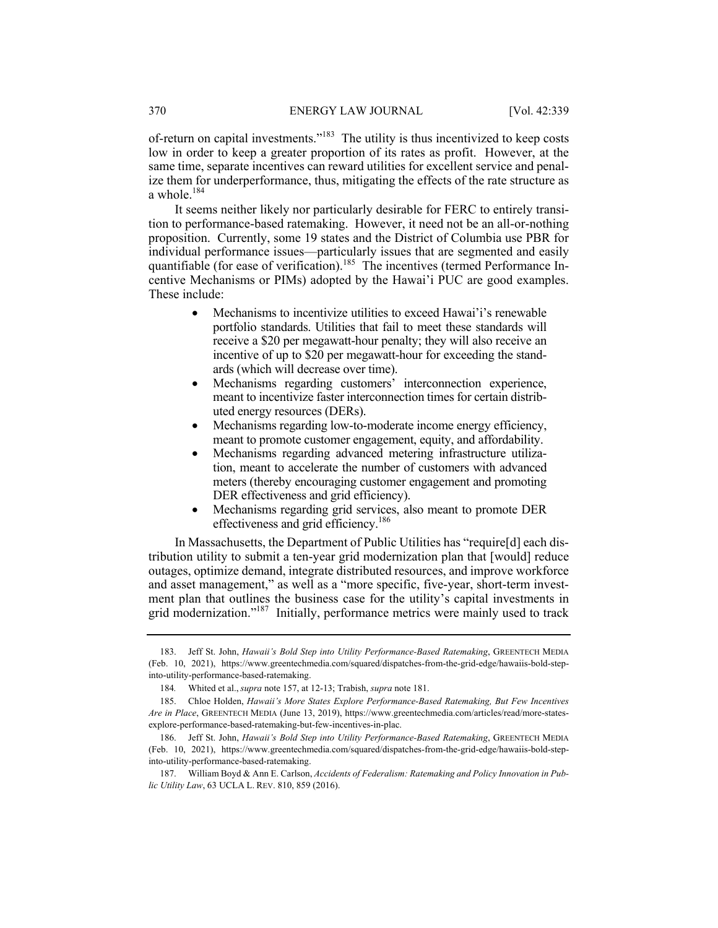of-return on capital investments."183 The utility is thus incentivized to keep costs low in order to keep a greater proportion of its rates as profit. However, at the same time, separate incentives can reward utilities for excellent service and penalize them for underperformance, thus, mitigating the effects of the rate structure as a whole.<sup>184</sup>

It seems neither likely nor particularly desirable for FERC to entirely transition to performance-based ratemaking. However, it need not be an all-or-nothing proposition. Currently, some 19 states and the District of Columbia use PBR for individual performance issues—particularly issues that are segmented and easily quantifiable (for ease of verification).<sup>185</sup> The incentives (termed Performance Incentive Mechanisms or PIMs) adopted by the Hawai'i PUC are good examples. These include:

- Mechanisms to incentivize utilities to exceed Hawai'i's renewable portfolio standards. Utilities that fail to meet these standards will receive a \$20 per megawatt-hour penalty; they will also receive an incentive of up to \$20 per megawatt-hour for exceeding the standards (which will decrease over time).
- Mechanisms regarding customers' interconnection experience, meant to incentivize faster interconnection times for certain distributed energy resources (DERs).
- Mechanisms regarding low-to-moderate income energy efficiency, meant to promote customer engagement, equity, and affordability.
- Mechanisms regarding advanced metering infrastructure utilization, meant to accelerate the number of customers with advanced meters (thereby encouraging customer engagement and promoting DER effectiveness and grid efficiency).
- Mechanisms regarding grid services, also meant to promote DER effectiveness and grid efficiency.<sup>186</sup>

In Massachusetts, the Department of Public Utilities has "require[d] each distribution utility to submit a ten-year grid modernization plan that [would] reduce outages, optimize demand, integrate distributed resources, and improve workforce and asset management," as well as a "more specific, five-year, short-term investment plan that outlines the business case for the utility's capital investments in grid modernization."<sup>187</sup> Initially, performance metrics were mainly used to track

 <sup>183.</sup> Jeff St. John, *Hawaii's Bold Step into Utility Performance-Based Ratemaking*, GREENTECH MEDIA (Feb. 10, 2021), https://www.greentechmedia.com/squared/dispatches-from-the-grid-edge/hawaiis-bold-stepinto-utility-performance-based-ratemaking.

<sup>184</sup>*.* Whited et al., *supra* note 157, at 12-13; Trabish, *supra* note 181.

 <sup>185.</sup> Chloe Holden, *Hawaii's More States Explore Performance-Based Ratemaking, But Few Incentives Are in Place*, GREENTECH MEDIA (June 13, 2019), https://www.greentechmedia.com/articles/read/more-statesexplore-performance-based-ratemaking-but-few-incentives-in-plac.

 <sup>186.</sup> Jeff St. John, *Hawaii's Bold Step into Utility Performance-Based Ratemaking*, GREENTECH MEDIA (Feb. 10, 2021), https://www.greentechmedia.com/squared/dispatches-from-the-grid-edge/hawaiis-bold-stepinto-utility-performance-based-ratemaking.

 <sup>187.</sup> William Boyd & Ann E. Carlson, *Accidents of Federalism: Ratemaking and Policy Innovation in Public Utility Law*, 63 UCLA L. REV. 810, 859 (2016).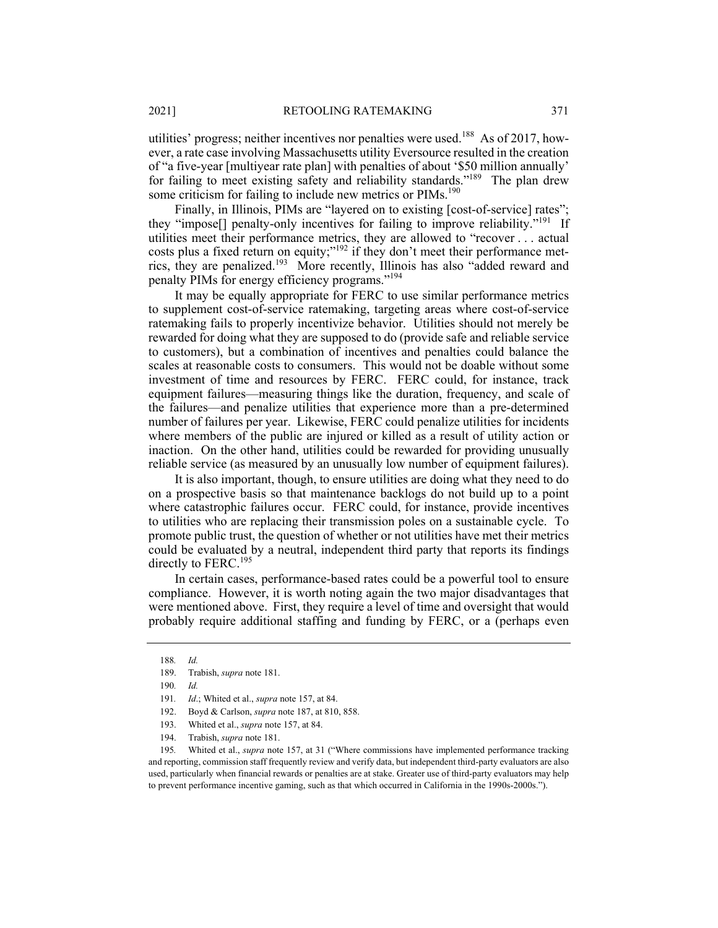utilities' progress; neither incentives nor penalties were used.<sup>188</sup> As of 2017, however, a rate case involving Massachusetts utility Eversource resulted in the creation of "a five-year [multiyear rate plan] with penalties of about '\$50 million annually' for failing to meet existing safety and reliability standards."<sup>189</sup> The plan drew some criticism for failing to include new metrics or PIMs.<sup>190</sup>

Finally, in Illinois, PIMs are "layered on to existing [cost-of-service] rates"; they "impose<sup>[]</sup> penalty-only incentives for failing to improve reliability."<sup>191</sup> If utilities meet their performance metrics, they are allowed to "recover . . . actual costs plus a fixed return on equity;"<sup>192</sup> if they don't meet their performance metrics, they are penalized.193 More recently, Illinois has also "added reward and penalty PIMs for energy efficiency programs."194

It may be equally appropriate for FERC to use similar performance metrics to supplement cost-of-service ratemaking, targeting areas where cost-of-service ratemaking fails to properly incentivize behavior. Utilities should not merely be rewarded for doing what they are supposed to do (provide safe and reliable service to customers), but a combination of incentives and penalties could balance the scales at reasonable costs to consumers. This would not be doable without some investment of time and resources by FERC. FERC could, for instance, track equipment failures—measuring things like the duration, frequency, and scale of the failures—and penalize utilities that experience more than a pre-determined number of failures per year. Likewise, FERC could penalize utilities for incidents where members of the public are injured or killed as a result of utility action or inaction. On the other hand, utilities could be rewarded for providing unusually reliable service (as measured by an unusually low number of equipment failures).

It is also important, though, to ensure utilities are doing what they need to do on a prospective basis so that maintenance backlogs do not build up to a point where catastrophic failures occur. FERC could, for instance, provide incentives to utilities who are replacing their transmission poles on a sustainable cycle. To promote public trust, the question of whether or not utilities have met their metrics could be evaluated by a neutral, independent third party that reports its findings directly to FERC.<sup>195</sup>

In certain cases, performance-based rates could be a powerful tool to ensure compliance. However, it is worth noting again the two major disadvantages that were mentioned above. First, they require a level of time and oversight that would probably require additional staffing and funding by FERC, or a (perhaps even

<sup>188</sup>*. Id.*

 <sup>189.</sup> Trabish, *supra* note 181.

<sup>190</sup>*. Id.*

<sup>191</sup>*. Id*.; Whited et al., *supra* note 157, at 84.

 <sup>192.</sup> Boyd & Carlson, *supra* note 187, at 810, 858.

 <sup>193.</sup> Whited et al., *supra* note 157, at 84.

 <sup>194.</sup> Trabish, *supra* note 181.

<sup>195</sup>*.* Whited et al., *supra* note 157, at 31 ("Where commissions have implemented performance tracking and reporting, commission staff frequently review and verify data, but independent third-party evaluators are also used, particularly when financial rewards or penalties are at stake. Greater use of third-party evaluators may help to prevent performance incentive gaming, such as that which occurred in California in the 1990s-2000s.").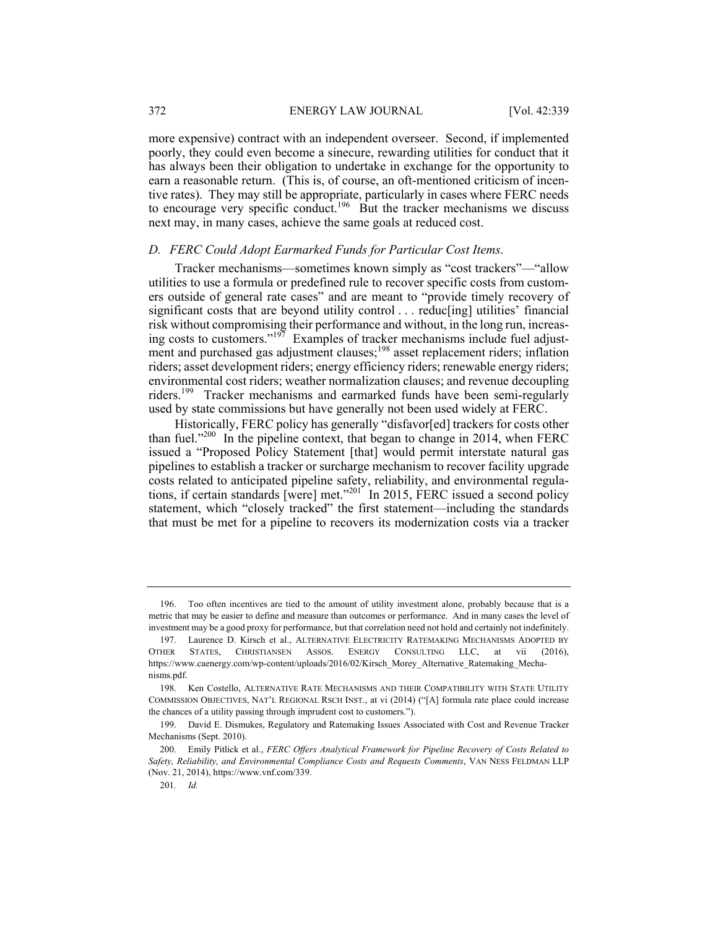more expensive) contract with an independent overseer. Second, if implemented poorly, they could even become a sinecure, rewarding utilities for conduct that it has always been their obligation to undertake in exchange for the opportunity to earn a reasonable return. (This is, of course, an oft-mentioned criticism of incentive rates). They may still be appropriate, particularly in cases where FERC needs to encourage very specific conduct.<sup>196</sup> But the tracker mechanisms we discuss next may, in many cases, achieve the same goals at reduced cost.

### *D. FERC Could Adopt Earmarked Funds for Particular Cost Items.*

Tracker mechanisms—sometimes known simply as "cost trackers"—"allow utilities to use a formula or predefined rule to recover specific costs from customers outside of general rate cases" and are meant to "provide timely recovery of significant costs that are beyond utility control . . . reduc[ing] utilities' financial risk without compromising their performance and without, in the long run, increasing costs to customers."197 Examples of tracker mechanisms include fuel adjustment and purchased gas adjustment clauses;<sup>198</sup> asset replacement riders; inflation riders; asset development riders; energy efficiency riders; renewable energy riders; environmental cost riders; weather normalization clauses; and revenue decoupling riders.199 Tracker mechanisms and earmarked funds have been semi-regularly used by state commissions but have generally not been used widely at FERC.

Historically, FERC policy has generally "disfavor[ed] trackers for costs other than fuel."200 In the pipeline context, that began to change in 2014, when FERC issued a "Proposed Policy Statement [that] would permit interstate natural gas pipelines to establish a tracker or surcharge mechanism to recover facility upgrade costs related to anticipated pipeline safety, reliability, and environmental regulations, if certain standards [were] met."<sup>201</sup> In 2015, FERC issued a second policy statement, which "closely tracked" the first statement—including the standards that must be met for a pipeline to recovers its modernization costs via a tracker

 <sup>196.</sup> Too often incentives are tied to the amount of utility investment alone, probably because that is a metric that may be easier to define and measure than outcomes or performance. And in many cases the level of investment may be a good proxy for performance, but that correlation need not hold and certainly not indefinitely.

 <sup>197.</sup> Laurence D. Kirsch et al., ALTERNATIVE ELECTRICITY RATEMAKING MECHANISMS ADOPTED BY OTHER STATES, CHRISTIANSEN ASSOS. ENERGY CONSULTING LLC, at vii (2016), https://www.caenergy.com/wp-content/uploads/2016/02/Kirsch\_Morey\_Alternative\_Ratemaking\_Mechanisms.pdf.

 <sup>198.</sup> Ken Costello, ALTERNATIVE RATE MECHANISMS AND THEIR COMPATIBILITY WITH STATE UTILITY COMMISSION OBJECTIVES, NAT'L REGIONAL RSCH INST., at vi (2014) ("[A] formula rate place could increase the chances of a utility passing through imprudent cost to customers.").

 <sup>199.</sup> David E. Dismukes, Regulatory and Ratemaking Issues Associated with Cost and Revenue Tracker Mechanisms (Sept. 2010).

 <sup>200.</sup> Emily Pitlick et al., *FERC Offers Analytical Framework for Pipeline Recovery of Costs Related to Safety, Reliability, and Environmental Compliance Costs and Requests Comments*, VAN NESS FELDMAN LLP (Nov. 21, 2014), https://www.vnf.com/339.

<sup>201</sup>*. Id.*